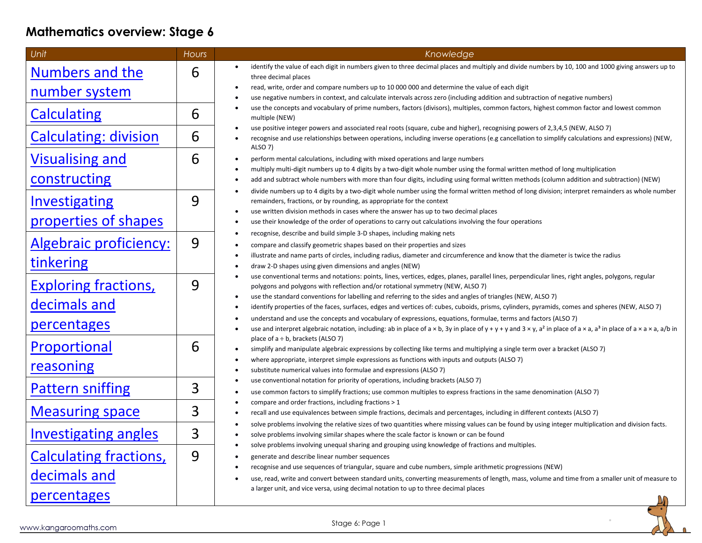# **Mathematics overview: Stage 6**

| Unit                          | <b>Hours</b> | Knowledge                                                                                                                                                                                                                                                                                                               |
|-------------------------------|--------------|-------------------------------------------------------------------------------------------------------------------------------------------------------------------------------------------------------------------------------------------------------------------------------------------------------------------------|
| Numbers and the               | 6            | identify the value of each digit in numbers given to three decimal places and multiply and divide numbers by 10, 100 and 1000 giving answers up to<br>$\bullet$<br>three decimal places                                                                                                                                 |
| <u>number system</u>          |              | read, write, order and compare numbers up to 10 000 000 and determine the value of each digit<br>$\bullet$                                                                                                                                                                                                              |
|                               |              | use negative numbers in context, and calculate intervals across zero (including addition and subtraction of negative numbers)                                                                                                                                                                                           |
| <b>Calculating</b>            | 6            | use the concepts and vocabulary of prime numbers, factors (divisors), multiples, common factors, highest common factor and lowest common<br>$\bullet$<br>multiple (NEW)                                                                                                                                                 |
| <b>Calculating: division</b>  | 6            | use positive integer powers and associated real roots (square, cube and higher), recognising powers of 2,3,4,5 (NEW, ALSO 7)<br>$\bullet$<br>recognise and use relationships between operations, including inverse operations (e.g cancellation to simplify calculations and expressions) (NEW,<br>$\bullet$<br>ALSO 7) |
| <b>Visualising and</b>        | 6            | perform mental calculations, including with mixed operations and large numbers<br>$\bullet$                                                                                                                                                                                                                             |
|                               |              | multiply multi-digit numbers up to 4 digits by a two-digit whole number using the formal written method of long multiplication<br>$\bullet$                                                                                                                                                                             |
| constructing                  |              | add and subtract whole numbers with more than four digits, including using formal written methods (column addition and subtraction) (NEW)<br>$\bullet$                                                                                                                                                                  |
| <b>Investigating</b>          | 9            | divide numbers up to 4 digits by a two-digit whole number using the formal written method of long division; interpret remainders as whole number<br>$\bullet$<br>remainders, fractions, or by rounding, as appropriate for the context                                                                                  |
|                               |              | use written division methods in cases where the answer has up to two decimal places<br>$\bullet$                                                                                                                                                                                                                        |
| properties of shapes          |              | use their knowledge of the order of operations to carry out calculations involving the four operations<br>$\bullet$                                                                                                                                                                                                     |
|                               | 9            | recognise, describe and build simple 3-D shapes, including making nets<br>$\bullet$                                                                                                                                                                                                                                     |
| <b>Algebraic proficiency:</b> |              | compare and classify geometric shapes based on their properties and sizes<br>$\bullet$                                                                                                                                                                                                                                  |
| tinkering                     |              | illustrate and name parts of circles, including radius, diameter and circumference and know that the diameter is twice the radius<br>$\bullet$<br>draw 2-D shapes using given dimensions and angles (NEW)<br>$\bullet$                                                                                                  |
|                               |              | use conventional terms and notations: points, lines, vertices, edges, planes, parallel lines, perpendicular lines, right angles, polygons, regular<br>$\bullet$                                                                                                                                                         |
| <b>Exploring fractions,</b>   | 9            | polygons and polygons with reflection and/or rotational symmetry (NEW, ALSO 7)                                                                                                                                                                                                                                          |
| decimals and                  |              | use the standard conventions for labelling and referring to the sides and angles of triangles (NEW, ALSO 7)<br>$\bullet$<br>identify properties of the faces, surfaces, edges and vertices of: cubes, cuboids, prisms, cylinders, pyramids, comes and spheres (NEW, ALSO 7)<br>$\bullet$                                |
|                               |              | understand and use the concepts and vocabulary of expressions, equations, formulae, terms and factors (ALSO 7)<br>$\bullet$                                                                                                                                                                                             |
| <b>percentages</b>            |              | use and interpret algebraic notation, including: ab in place of a × b, 3y in place of y + y + y and 3 × y, a <sup>2</sup> in place of a × a, a <sup>3</sup> in place of a × a, a <sup>3</sup> in place of a × a, a <sup>3</sup> in place of a × a × a, a/b in<br>$\bullet$                                              |
| Proportional                  | 6            | place of $a \div b$ , brackets (ALSO 7)                                                                                                                                                                                                                                                                                 |
|                               |              | simplify and manipulate algebraic expressions by collecting like terms and multiplying a single term over a bracket (ALSO 7)<br>$\bullet$<br>where appropriate, interpret simple expressions as functions with inputs and outputs (ALSO 7)<br>$\bullet$                                                                 |
| reasoning                     |              | substitute numerical values into formulae and expressions (ALSO 7)<br>$\bullet$                                                                                                                                                                                                                                         |
|                               |              | use conventional notation for priority of operations, including brackets (ALSO 7)<br>$\bullet$                                                                                                                                                                                                                          |
| <b>Pattern sniffing</b>       | 3            | use common factors to simplify fractions; use common multiples to express fractions in the same denomination (ALSO 7)                                                                                                                                                                                                   |
| <b>Measuring space</b>        | 3            | compare and order fractions, including fractions > 1<br>$\bullet$<br>recall and use equivalences between simple fractions, decimals and percentages, including in different contexts (ALSO 7)<br>$\bullet$                                                                                                              |
|                               |              | solve problems involving the relative sizes of two quantities where missing values can be found by using integer multiplication and division facts.<br>$\bullet$                                                                                                                                                        |
| <b>Investigating angles</b>   | 3            | solve problems involving similar shapes where the scale factor is known or can be found<br>$\bullet$                                                                                                                                                                                                                    |
|                               |              | solve problems involving unequal sharing and grouping using knowledge of fractions and multiples.<br>$\bullet$                                                                                                                                                                                                          |
| <b>Calculating fractions,</b> | 9            | generate and describe linear number sequences<br>$\bullet$                                                                                                                                                                                                                                                              |
| decimals and                  |              | recognise and use sequences of triangular, square and cube numbers, simple arithmetic progressions (NEW)<br>$\bullet$<br>use, read, write and convert between standard units, converting measurements of length, mass, volume and time from a smaller unit of measure to<br>$\bullet$                                   |
|                               |              | a larger unit, and vice versa, using decimal notation to up to three decimal places                                                                                                                                                                                                                                     |
| percentages                   |              | $\mathbb{M}$                                                                                                                                                                                                                                                                                                            |

www.kangaroomaths.com

Stage 6: Page 1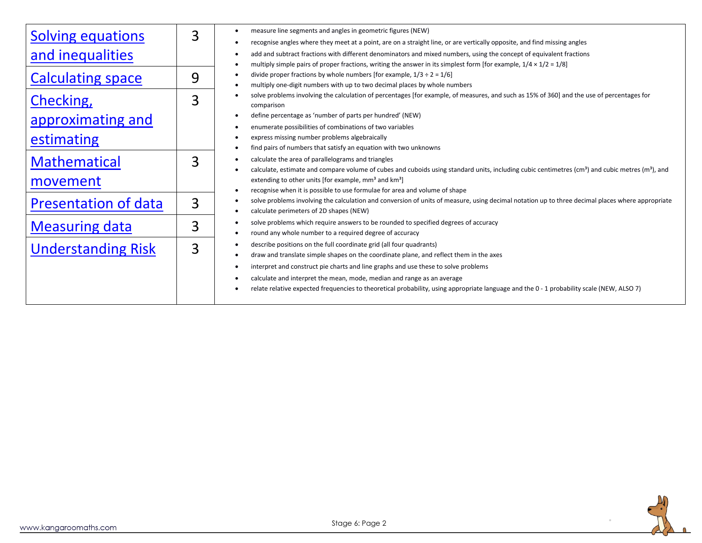| <b>Solving equations</b>    | 3 | measure line segments and angles in geometric figures (NEW)<br>$\bullet$                                                                                                 |
|-----------------------------|---|--------------------------------------------------------------------------------------------------------------------------------------------------------------------------|
|                             |   | recognise angles where they meet at a point, are on a straight line, or are vertically opposite, and find missing angles<br>$\bullet$                                    |
| and inequalities            |   | add and subtract fractions with different denominators and mixed numbers, using the concept of equivalent fractions                                                      |
|                             |   | multiply simple pairs of proper fractions, writing the answer in its simplest form [for example, $1/4 \times 1/2 = 1/8$ ]<br>$\bullet$                                   |
| <b>Calculating space</b>    | 9 | divide proper fractions by whole numbers [for example, $1/3 \div 2 = 1/6$ ]                                                                                              |
|                             |   | multiply one-digit numbers with up to two decimal places by whole numbers<br>$\bullet$                                                                                   |
| Checking,                   | 3 | solve problems involving the calculation of percentages [for example, of measures, and such as 15% of 360] and the use of percentages for                                |
|                             |   | comparison<br>define percentage as 'number of parts per hundred' (NEW)                                                                                                   |
| approximating and           |   | enumerate possibilities of combinations of two variables                                                                                                                 |
|                             |   | express missing number problems algebraically                                                                                                                            |
| estimating                  |   | find pairs of numbers that satisfy an equation with two unknowns<br>$\bullet$                                                                                            |
|                             |   | calculate the area of parallelograms and triangles<br>$\bullet$                                                                                                          |
| <b>Mathematical</b>         | 3 | calculate, estimate and compare volume of cubes and cuboids using standard units, including cubic centimetres (cm <sup>3</sup> ) and cubic metres (m <sup>3</sup> ), and |
| movement                    |   | extending to other units [for example, $mm3$ and $km3$ ]                                                                                                                 |
|                             |   | recognise when it is possible to use formulae for area and volume of shape<br>$\bullet$                                                                                  |
| <b>Presentation of data</b> | 3 | solve problems involving the calculation and conversion of units of measure, using decimal notation up to three decimal places where appropriate<br>$\bullet$            |
|                             |   | calculate perimeters of 2D shapes (NEW)<br>$\bullet$                                                                                                                     |
| <b>Measuring data</b>       | 3 | solve problems which require answers to be rounded to specified degrees of accuracy<br>$\bullet$                                                                         |
|                             |   | round any whole number to a required degree of accuracy<br>$\bullet$                                                                                                     |
| <b>Understanding Risk</b>   | 3 | describe positions on the full coordinate grid (all four quadrants)<br>$\bullet$                                                                                         |
|                             |   | draw and translate simple shapes on the coordinate plane, and reflect them in the axes<br>٠                                                                              |
|                             |   | interpret and construct pie charts and line graphs and use these to solve problems                                                                                       |
|                             |   | calculate and interpret the mean, mode, median and range as an average                                                                                                   |
|                             |   | relate relative expected frequencies to theoretical probability, using appropriate language and the 0 - 1 probability scale (NEW, ALSO 7)                                |
|                             |   |                                                                                                                                                                          |

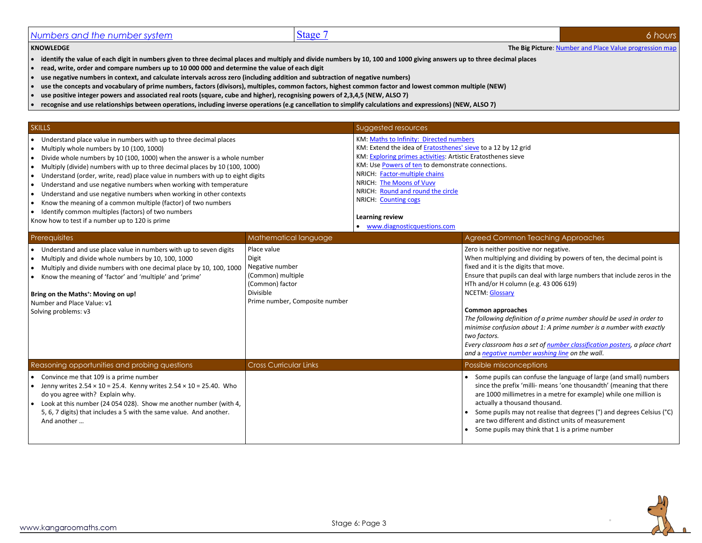## <span id="page-2-0"></span>*Numbers and the number system* Stage 7 **6** *hours* Stage 7 **6** *6 hours* Stage 7 **6** *hours* Stage 7 **6** *hours* Stage 7 **6 hours** Stage 7 **6 hours** Stage 7 **6 hours** Stage 7 **6 hours** Stage 7 **6 hours** Stage

#### **KNOWLEDGE The Big Picture**[: Number and Place Value progression map](http://kangaroomaths.com/free_resources/planning/KM_MathematicsProgression_NumberPlaceValue.xlsx)

- **identify the value of each digit in numbers given to three decimal places and multiply and divide numbers by 10, 100 and 1000 giving answers up to three decimal places**
- **read, write, order and compare numbers up to 10 000 000 and determine the value of each digit**
- **use negative numbers in context, and calculate intervals across zero (including addition and subtraction of negative numbers)**
- **use the concepts and vocabulary of prime numbers, factors (divisors), multiples, common factors, highest common factor and lowest common multiple (NEW)**
- **use positive integer powers and associated real roots (square, cube and higher), recognising powers of 2,3,4,5 (NEW, ALSO 7)**
- **recognise and use relationships between operations, including inverse operations (e.g cancellation to simplify calculations and expressions) (NEW, ALSO 7)**

| <b>SKILLS</b>                                                                                                                                                                                                                                                                                                                                                                                                                                                                                                                                                                                                                                                                     |                                                                                                                                | Suggested resources                                                                                                                                                                                                                                                                                                                                                                                                |                                                                                                                                                                                                                                                                                                                                                                                                                                                                                                                                                                                                                                    |
|-----------------------------------------------------------------------------------------------------------------------------------------------------------------------------------------------------------------------------------------------------------------------------------------------------------------------------------------------------------------------------------------------------------------------------------------------------------------------------------------------------------------------------------------------------------------------------------------------------------------------------------------------------------------------------------|--------------------------------------------------------------------------------------------------------------------------------|--------------------------------------------------------------------------------------------------------------------------------------------------------------------------------------------------------------------------------------------------------------------------------------------------------------------------------------------------------------------------------------------------------------------|------------------------------------------------------------------------------------------------------------------------------------------------------------------------------------------------------------------------------------------------------------------------------------------------------------------------------------------------------------------------------------------------------------------------------------------------------------------------------------------------------------------------------------------------------------------------------------------------------------------------------------|
| • Understand place value in numbers with up to three decimal places<br>Multiply whole numbers by 10 (100, 1000)<br>Divide whole numbers by 10 (100, 1000) when the answer is a whole number<br>Multiply (divide) numbers with up to three decimal places by 10 (100, 1000)<br>Understand (order, write, read) place value in numbers with up to eight digits<br>Understand and use negative numbers when working with temperature<br>Understand and use negative numbers when working in other contexts<br>Know the meaning of a common multiple (factor) of two numbers<br>Identify common multiples (factors) of two numbers<br>Know how to test if a number up to 120 is prime |                                                                                                                                | KM: Maths to Infinity: Directed numbers<br>KM: Extend the idea of Eratosthenes' sieve to a 12 by 12 grid<br>KM: Exploring primes activities: Artistic Eratosthenes sieve<br>KM: Use Powers of ten to demonstrate connections.<br>NRICH: Factor-multiple chains<br>NRICH: The Moons of Vuvv<br>NRICH: Round and round the circle<br><b>NRICH: Counting cogs</b><br>Learning review<br>• www.diagnosticquestions.com |                                                                                                                                                                                                                                                                                                                                                                                                                                                                                                                                                                                                                                    |
| <b>Prerequisites</b>                                                                                                                                                                                                                                                                                                                                                                                                                                                                                                                                                                                                                                                              | Mathematical language                                                                                                          |                                                                                                                                                                                                                                                                                                                                                                                                                    | Agreed Common Teaching Approaches                                                                                                                                                                                                                                                                                                                                                                                                                                                                                                                                                                                                  |
| • Understand and use place value in numbers with up to seven digits<br>Multiply and divide whole numbers by 10, 100, 1000<br>Multiply and divide numbers with one decimal place by 10, 100, 1000<br>• Know the meaning of 'factor' and 'multiple' and 'prime'<br>Bring on the Maths <sup>+</sup> : Moving on up!<br>Number and Place Value: v1<br>Solving problems: v3                                                                                                                                                                                                                                                                                                            | Place value<br>Digit<br>Negative number<br>(Common) multiple<br>(Common) factor<br>Divisible<br>Prime number, Composite number |                                                                                                                                                                                                                                                                                                                                                                                                                    | Zero is neither positive nor negative.<br>When multiplying and dividing by powers of ten, the decimal point is<br>fixed and it is the digits that move.<br>Ensure that pupils can deal with large numbers that include zeros in the<br>HTh and/or H column (e.g. 43 006 619)<br><b>NCETM: Glossary</b><br><b>Common approaches</b><br>The following definition of a prime number should be used in order to<br>minimise confusion about 1: A prime number is a number with exactly<br>two factors.<br>Every classroom has a set of number classification posters, a place chart<br>and a negative number washing line on the wall. |
| Reasoning opportunities and probing questions                                                                                                                                                                                                                                                                                                                                                                                                                                                                                                                                                                                                                                     | <b>Cross Curricular Links</b>                                                                                                  |                                                                                                                                                                                                                                                                                                                                                                                                                    | Possible misconceptions                                                                                                                                                                                                                                                                                                                                                                                                                                                                                                                                                                                                            |
| • Convince me that 109 is a prime number<br>• Jenny writes $2.54 \times 10 = 25.4$ . Kenny writes $2.54 \times 10 = 25.40$ . Who<br>do you agree with? Explain why.<br>• Look at this number (24 054 028). Show me another number (with 4,<br>5, 6, 7 digits) that includes a 5 with the same value. And another.<br>And another                                                                                                                                                                                                                                                                                                                                                  |                                                                                                                                |                                                                                                                                                                                                                                                                                                                                                                                                                    | • Some pupils can confuse the language of large (and small) numbers<br>since the prefix 'milli- means 'one thousandth' (meaning that there<br>are 1000 millimetres in a metre for example) while one million is<br>actually a thousand thousand.<br>Some pupils may not realise that degrees (°) and degrees Celsius (°C)<br>are two different and distinct units of measurement<br>Some pupils may think that 1 is a prime number                                                                                                                                                                                                 |

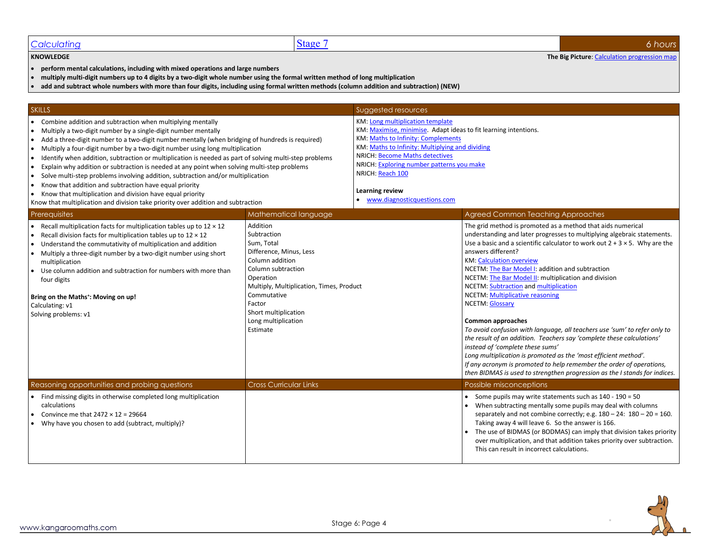#### <span id="page-3-0"></span>**Calculating** 6 *hours* 6 *hours* 6 *hours*

**KNOWLEDGE The Big Picture**[: Calculation progression map](http://kangaroomaths.com/free_resources/planning/KM_MathematicsProgression_NumberCalculation.xlsx)

- 
- **perform mental calculations, including with mixed operations and large numbers**
- **multiply multi-digit numbers up to 4 digits by a two-digit whole number using the formal written method of long multiplication**
- **add and subtract whole numbers with more than four digits, including using formal written methods (column addition and subtraction) (NEW)**

| <b>SKILLS</b>                                                                                                                                                                                                                                                                                                                                                                                                                                                                                                                                                                                                                                                                                                                                                                                                                       |                                                                                                                                                                                                                                                        | Suggested resources                                                                                                                                                                                                                                                                                                                               |                                                                                                                                                                                                                                                                                                                                                                                                                                                                                                                                                                                                                                                                                                                                                                                                                                                                                                                                                        |
|-------------------------------------------------------------------------------------------------------------------------------------------------------------------------------------------------------------------------------------------------------------------------------------------------------------------------------------------------------------------------------------------------------------------------------------------------------------------------------------------------------------------------------------------------------------------------------------------------------------------------------------------------------------------------------------------------------------------------------------------------------------------------------------------------------------------------------------|--------------------------------------------------------------------------------------------------------------------------------------------------------------------------------------------------------------------------------------------------------|---------------------------------------------------------------------------------------------------------------------------------------------------------------------------------------------------------------------------------------------------------------------------------------------------------------------------------------------------|--------------------------------------------------------------------------------------------------------------------------------------------------------------------------------------------------------------------------------------------------------------------------------------------------------------------------------------------------------------------------------------------------------------------------------------------------------------------------------------------------------------------------------------------------------------------------------------------------------------------------------------------------------------------------------------------------------------------------------------------------------------------------------------------------------------------------------------------------------------------------------------------------------------------------------------------------------|
| Combine addition and subtraction when multiplying mentally<br>Multiply a two-digit number by a single-digit number mentally<br>Add a three-digit number to a two-digit number mentally (when bridging of hundreds is required)<br>Multiply a four-digit number by a two-digit number using long multiplication<br>Identify when addition, subtraction or multiplication is needed as part of solving multi-step problems<br>Explain why addition or subtraction is needed at any point when solving multi-step problems<br>$\bullet$<br>Solve multi-step problems involving addition, subtraction and/or multiplication<br>Know that addition and subtraction have equal priority<br>Know that multiplication and division have equal priority<br>Know that multiplication and division take priority over addition and subtraction |                                                                                                                                                                                                                                                        | KM: Long multiplication template<br>KM: Maximise, minimise. Adapt ideas to fit learning intentions.<br>KM: Maths to Infinity: Complements<br>KM: Maths to Infinity: Multiplying and dividing<br>NRICH: Become Maths detectives<br>NRICH: Exploring number patterns you make<br>NRICH: Reach 100<br>Learning review<br>www.diagnosticquestions.com |                                                                                                                                                                                                                                                                                                                                                                                                                                                                                                                                                                                                                                                                                                                                                                                                                                                                                                                                                        |
| Prerequisites                                                                                                                                                                                                                                                                                                                                                                                                                                                                                                                                                                                                                                                                                                                                                                                                                       | Mathematical language                                                                                                                                                                                                                                  |                                                                                                                                                                                                                                                                                                                                                   | <b>Agreed Common Teaching Approaches</b>                                                                                                                                                                                                                                                                                                                                                                                                                                                                                                                                                                                                                                                                                                                                                                                                                                                                                                               |
| Recall multiplication facts for multiplication tables up to $12 \times 12$<br>Recall division facts for multiplication tables up to $12 \times 12$<br>Understand the commutativity of multiplication and addition<br>Multiply a three-digit number by a two-digit number using short<br>multiplication<br>Use column addition and subtraction for numbers with more than<br>four digits<br>Bring on the Maths <sup>+</sup> : Moving on up!<br>Calculating: v1<br>Solving problems: v1                                                                                                                                                                                                                                                                                                                                               | Addition<br>Subtraction<br>Sum, Total<br>Difference, Minus, Less<br>Column addition<br>Column subtraction<br>Operation<br>Multiply, Multiplication, Times, Product<br>Commutative<br>Factor<br>Short multiplication<br>Long multiplication<br>Estimate |                                                                                                                                                                                                                                                                                                                                                   | The grid method is promoted as a method that aids numerical<br>understanding and later progresses to multiplying algebraic statements.<br>Use a basic and a scientific calculator to work out $2 + 3 \times 5$ . Why are the<br>answers different?<br><b>KM: Calculation overview</b><br>NCETM: The Bar Model I: addition and subtraction<br>NCETM: The Bar Model II: multiplication and division<br>NCETM: Subtraction and multiplication<br><b>NCETM: Multiplicative reasoning</b><br><b>NCETM: Glossary</b><br>Common approaches<br>To avoid confusion with language, all teachers use 'sum' to refer only to<br>the result of an addition. Teachers say 'complete these calculations'<br>instead of 'complete these sums'<br>Long multiplication is promoted as the 'most efficient method'.<br>If any acronym is promoted to help remember the order of operations,<br>then BIDMAS is used to strengthen progression as the I stands for indices. |
| Reasoning opportunities and probing questions                                                                                                                                                                                                                                                                                                                                                                                                                                                                                                                                                                                                                                                                                                                                                                                       | <b>Cross Curricular Links</b>                                                                                                                                                                                                                          |                                                                                                                                                                                                                                                                                                                                                   | Possible misconceptions                                                                                                                                                                                                                                                                                                                                                                                                                                                                                                                                                                                                                                                                                                                                                                                                                                                                                                                                |
| Find missing digits in otherwise completed long multiplication<br>calculations<br>Convince me that $2472 \times 12 = 29664$<br>Why have you chosen to add (subtract, multiply)?                                                                                                                                                                                                                                                                                                                                                                                                                                                                                                                                                                                                                                                     |                                                                                                                                                                                                                                                        |                                                                                                                                                                                                                                                                                                                                                   | • Some pupils may write statements such as 140 - 190 = 50<br>When subtracting mentally some pupils may deal with columns<br>separately and not combine correctly; e.g. $180 - 24$ : $180 - 20 = 160$ .<br>Taking away 4 will leave 6. So the answer is 166.<br>• The use of BIDMAS (or BODMAS) can imply that division takes priority<br>over multiplication, and that addition takes priority over subtraction.<br>This can result in incorrect calculations.                                                                                                                                                                                                                                                                                                                                                                                                                                                                                         |

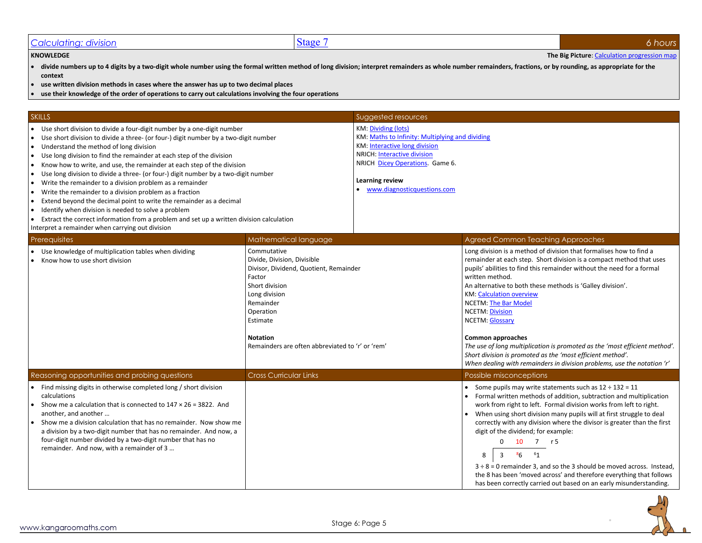### <span id="page-4-0"></span>**Calculating: division** 66 **6** *6 6 hours*

#### **KNOWLEDGE The Big Picture**[: Calculation progression map](http://kangaroomaths.com/free_resources/planning/KM_MathematicsProgression_NumberCalculation.xlsx)

- **divide numbers up to 4 digits by a two-digit whole number using the formal written method of long division; interpret remainders as whole number remainders, fractions, or by rounding, as appropriate for the context**
- **use written division methods in cases where the answer has up to two decimal places**
- **use their knowledge of the order of operations to carry out calculations involving the four operations**

#### **SKILLS** Suggested resources and the contract of the contract of the contract of the contract of the contract of the contract of the contract of the contract of the contract of the contract of the contract of the contract • Use short division to divide a four-digit number by a one-digit number • Use short division to divide a three- (or four-) digit number by a two-digit number • Understand the method of long division • Use long division to find the remainder at each step of the division • Know how to write, and use, the remainder at each step of the division • Use long division to divide a three- (or four-) digit number by a two-digit number • Write the remainder to a division problem as a remainder • Write the remainder to a division problem as a fraction • Extend beyond the decimal point to write the remainder as a decimal • Identify when division is needed to solve a problem • Extract the correct information from a problem and set up a written division calculation Interpret a remainder when carrying out division KM[: Dividing \(lots\)](http://kangaroomaths.com/free_resources/teaching/number/dividing_lots.docx) KM[: Maths to Infinity: Multiplying and dividing](http://kangaroomaths.com/free_resources/infinity/multiply_divide.xlsm) KM[: Interactive long division](http://kangaroomaths.com/free_resources/teaching/number/long_division.xlsx) NRICH[: Interactive division](http://nrich.maths.org/5400) NRICH [Dicey Operations.](http://nrich.maths.org/6606) Game 6. **Learning review** • [www.diagnosticquestions.com](http://www.diagnosticquestions.com/) Prerequisites **Mathematical language Agreed Common Teaching Approaches** Agreed Common Teaching Approaches • Use knowledge of multiplication tables when dividing • Know how to use short division Commutative Divide, Division, Divisible Divisor, Dividend, Quotient, Remainder Factor Short division Long division Remainder Operation Estimate **Notation** Remainders are often abbreviated to 'r' or 'rem' Long division is a method of division that formalises how to find a remainder at each step. Short division is a compact method that uses pupils' abilities to find this remainder without the need for a formal written method. An alternative to both these methods is 'Galley division'. KM[: Calculation overview](http://kangaroomaths.com/free_resources/teaching/number/calculation_overview_bouncebuzz.pdf) NCETM[: The Bar Model](https://www.ncetm.org.uk/resources/44568) NCETM[: Division](https://www.ncetm.org.uk/resources/43589) NCETM[: Glossary](https://www.ncetm.org.uk/public/files/17308038/National+Curriculum+Glossary.pdf) **Common approaches** *The use of long multiplication is promoted as the 'most efficient method'. Short division is promoted as the 'most efficient method'. When dealing with remainders in division problems, use the notation 'r'* Reasoning opportunities and probing questions **Cross Curricular Links** Possible misconceptions **Possible misconceptions** • Find missing digits in otherwise completed long / short division calculations Show me a calculation that is connected to  $147 \times 26 = 3822$ . And another, and another … • Show me a division calculation that has no remainder. Now show me a division by a two-digit number that has no remainder. And now, a four-digit number divided by a two-digit number that has no remainder. And now, with a remainder of 3 … • Some pupils may write statements such as  $12 \div 132 = 11$ • Formal written methods of addition, subtraction and multiplication work from right to left. Formal division works from left to right. • When using short division many pupils will at first struggle to deal correctly with any division where the divisor is greater than the first digit of the dividend; for example: 0 10 7 r 5 8 3 8 8 6  $61$ 3 ÷ 8 = 0 remainder 3, and so the 3 should be moved across. Instead, the 8 has been 'moved across' and therefore everything that follows has been correctly carried out based on an early misunderstanding.

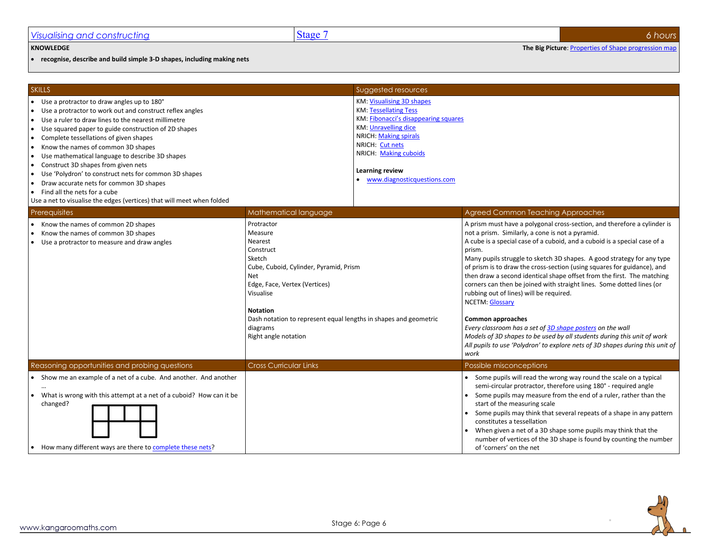• **recognise, describe and build simple 3-D shapes, including making nets**

| <b>SKILLS</b>                                                                                                                                                                                                                                                                                                                                                                                                                                                                                                                                                                                                                                                                                                                        |                                                                                                                                                                                                                                                                                          | Suggested resources                                                                                                                                                                                                                                              |                                                                                                                                                                                                                                                                                                                                                                                                                                                                                                                                                                                                                                                                                                                                                                                                                                                        |
|--------------------------------------------------------------------------------------------------------------------------------------------------------------------------------------------------------------------------------------------------------------------------------------------------------------------------------------------------------------------------------------------------------------------------------------------------------------------------------------------------------------------------------------------------------------------------------------------------------------------------------------------------------------------------------------------------------------------------------------|------------------------------------------------------------------------------------------------------------------------------------------------------------------------------------------------------------------------------------------------------------------------------------------|------------------------------------------------------------------------------------------------------------------------------------------------------------------------------------------------------------------------------------------------------------------|--------------------------------------------------------------------------------------------------------------------------------------------------------------------------------------------------------------------------------------------------------------------------------------------------------------------------------------------------------------------------------------------------------------------------------------------------------------------------------------------------------------------------------------------------------------------------------------------------------------------------------------------------------------------------------------------------------------------------------------------------------------------------------------------------------------------------------------------------------|
| • Use a protractor to draw angles up to 180°<br>Use a protractor to work out and construct reflex angles<br>$\bullet$<br>Use a ruler to draw lines to the nearest millimetre<br>$\bullet$<br>Use squared paper to guide construction of 2D shapes<br>$\bullet$<br>Complete tessellations of given shapes<br>$\bullet$<br>Know the names of common 3D shapes<br>$\bullet$<br>Use mathematical language to describe 3D shapes<br>$\bullet$<br>Construct 3D shapes from given nets<br>$\bullet$<br>Use 'Polydron' to construct nets for common 3D shapes<br>$\bullet$<br>Draw accurate nets for common 3D shapes<br>$\bullet$<br>Find all the nets for a cube<br>Use a net to visualise the edges (vertices) that will meet when folded |                                                                                                                                                                                                                                                                                          | KM: Visualising 3D shapes<br><b>KM: Tessellating Tess</b><br>KM: Fibonacci's disappearing squares<br><b>KM: Unravelling dice</b><br><b>NRICH: Making spirals</b><br>NRICH: Cut nets<br>NRICH: Making cuboids<br>Learning review<br>• www.diagnosticquestions.com |                                                                                                                                                                                                                                                                                                                                                                                                                                                                                                                                                                                                                                                                                                                                                                                                                                                        |
| Prerequisites                                                                                                                                                                                                                                                                                                                                                                                                                                                                                                                                                                                                                                                                                                                        | Mathematical language                                                                                                                                                                                                                                                                    |                                                                                                                                                                                                                                                                  | Agreed Common Teaching Approaches                                                                                                                                                                                                                                                                                                                                                                                                                                                                                                                                                                                                                                                                                                                                                                                                                      |
| Know the names of common 2D shapes<br>Know the names of common 3D shapes<br>Use a protractor to measure and draw angles<br>$\bullet$                                                                                                                                                                                                                                                                                                                                                                                                                                                                                                                                                                                                 | Protractor<br>Measure<br>Nearest<br>Construct<br>Sketch<br>Cube, Cuboid, Cylinder, Pyramid, Prism<br><b>Net</b><br>Edge, Face, Vertex (Vertices)<br>Visualise<br><b>Notation</b><br>Dash notation to represent equal lengths in shapes and geometric<br>diagrams<br>Right angle notation |                                                                                                                                                                                                                                                                  | A prism must have a polygonal cross-section, and therefore a cylinder is<br>not a prism. Similarly, a cone is not a pyramid.<br>A cube is a special case of a cuboid, and a cuboid is a special case of a<br>prism.<br>Many pupils struggle to sketch 3D shapes. A good strategy for any type<br>of prism is to draw the cross-section (using squares for guidance), and<br>then draw a second identical shape offset from the first. The matching<br>corners can then be joined with straight lines. Some dotted lines (or<br>rubbing out of lines) will be required.<br><b>NCETM: Glossary</b><br>Common approaches<br>Every classroom has a set of 3D shape posters on the wall<br>Models of 3D shapes to be used by all students during this unit of work<br>All pupils to use 'Polydron' to explore nets of 3D shapes during this unit of<br>work |
| Reasoning opportunities and probing questions                                                                                                                                                                                                                                                                                                                                                                                                                                                                                                                                                                                                                                                                                        | <b>Cross Curricular Links</b>                                                                                                                                                                                                                                                            |                                                                                                                                                                                                                                                                  | Possible misconceptions                                                                                                                                                                                                                                                                                                                                                                                                                                                                                                                                                                                                                                                                                                                                                                                                                                |
| • Show me an example of a net of a cube. And another. And another<br>What is wrong with this attempt at a net of a cuboid? How can it be<br>$\bullet$<br>changed?<br>• How many different ways are there to complete these nets?                                                                                                                                                                                                                                                                                                                                                                                                                                                                                                     |                                                                                                                                                                                                                                                                                          |                                                                                                                                                                                                                                                                  | Some pupils will read the wrong way round the scale on a typical<br>semi-circular protractor, therefore using 180° - required angle<br>• Some pupils may measure from the end of a ruler, rather than the<br>start of the measuring scale<br>• Some pupils may think that several repeats of a shape in any pattern<br>constitutes a tessellation<br>• When given a net of a 3D shape some pupils may think that the<br>number of vertices of the 3D shape is found by counting the number<br>of 'corners' on the net                                                                                                                                                                                                                                                                                                                                  |



<span id="page-5-0"></span>**KNOWLEDGE The Big Picture**[: Properties of Shape progression map](http://kangaroomaths.com/free_resources/planning/KM_MathematicsProgression_GeometryPropertiesShape.xlsx)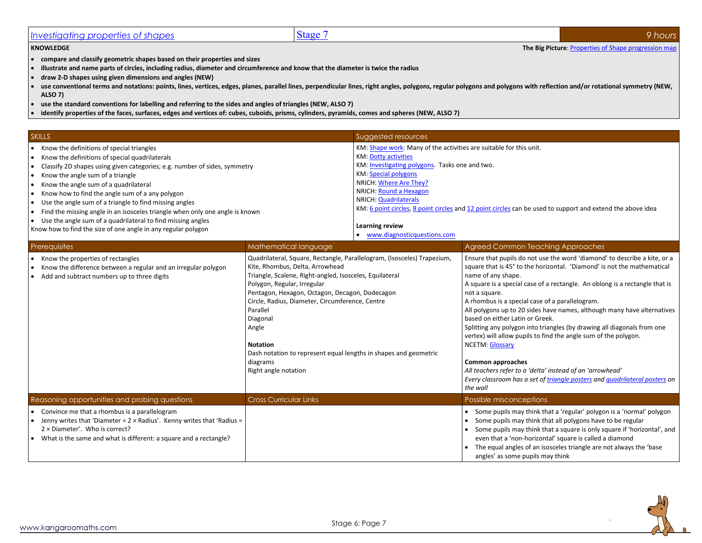## <span id="page-6-0"></span>*Investigating properties of shapes* 9 *9 9 <i>hours* Stage 7 *9 1 Stage 7 9 <i>pours* 9 *pours*

**KNOWLEDGE The Big Picture[: Properties of Shape progression map](http://kangaroomaths.com/free_resources/planning/KM_MathematicsProgression_GeometryPropertiesShape.xlsx)** 

- **compare and classify geometric shapes based on their properties and sizes**
- **illustrate and name parts of circles, including radius, diameter and circumference and know that the diameter is twice the radius**
- **draw 2-D shapes using given dimensions and angles (NEW)**
- use conventional terms and notations: points, lines, vertices, edges, planes, parallel lines, perpendicular lines, right angles, polygons, regular polygons and polygons with reflection and/or rotational symmetry (NEW, **ALSO 7)**
- **use the standard conventions for labelling and referring to the sides and angles of triangles (NEW, ALSO 7)**
- **identify properties of the faces, surfaces, edges and vertices of: cubes, cuboids, prisms, cylinders, pyramids, comes and spheres (NEW, ALSO 7)**

| <b>SKILLS</b>                                                                | Suggested resources                                                                                        |
|------------------------------------------------------------------------------|------------------------------------------------------------------------------------------------------------|
| Know the definitions of special triangles                                    | KM: Shape work: Many of the activities are suitable for this unit.                                         |
| Know the definitions of special quadrilaterals                               | <b>KM: Dotty activities</b>                                                                                |
| Classify 2D shapes using given categories; e.g. number of sides, symmetry    | KM: Investigating polygons. Tasks one and two.                                                             |
| Know the angle sum of a triangle                                             | <b>KM: Special polygons</b>                                                                                |
| Know the angle sum of a quadrilateral                                        | NRICH: Where Are They?                                                                                     |
| Know how to find the angle sum of a any polygon                              | NRICH: Round a Hexagon                                                                                     |
| Use the angle sum of a triangle to find missing angles                       | NRICH: Quadrilaterals                                                                                      |
| Find the missing angle in an isosceles triangle when only one angle is known | KM: 6 point circles, 8 point circles and 12 point circles can be used to support and extend the above idea |
| Use the angle sum of a quadrilateral to find missing angles                  |                                                                                                            |
| Know how to find the size of one angle in any regular polygon                | Learning review                                                                                            |
|                                                                              | www.diagnosticquestions.com                                                                                |

| Prerequisites                                                                                                                                                                                                                                  | Mathematical language                                                                                                                                                                                                                                                                                                                                                                                                                                                 | Agreed Common Teaching Approaches                                                                                                                                                                                                                                                                                                                                                                                                                                                                                                                                                                                                                                                                                                                                                        |
|------------------------------------------------------------------------------------------------------------------------------------------------------------------------------------------------------------------------------------------------|-----------------------------------------------------------------------------------------------------------------------------------------------------------------------------------------------------------------------------------------------------------------------------------------------------------------------------------------------------------------------------------------------------------------------------------------------------------------------|------------------------------------------------------------------------------------------------------------------------------------------------------------------------------------------------------------------------------------------------------------------------------------------------------------------------------------------------------------------------------------------------------------------------------------------------------------------------------------------------------------------------------------------------------------------------------------------------------------------------------------------------------------------------------------------------------------------------------------------------------------------------------------------|
| Know the properties of rectangles<br>Know the difference between a regular and an irregular polygon<br>Add and subtract numbers up to three digits                                                                                             | Quadrilateral, Square, Rectangle, Parallelogram, (Isosceles) Trapezium,<br>Kite, Rhombus, Delta, Arrowhead<br>Triangle, Scalene, Right-angled, Isosceles, Equilateral<br>Polygon, Regular, Irregular<br>Pentagon, Hexagon, Octagon, Decagon, Dodecagon<br>Circle, Radius, Diameter, Circumference, Centre<br>Parallel<br>Diagonal<br>Angle<br><b>Notation</b><br>Dash notation to represent equal lengths in shapes and geometric<br>diagrams<br>Right angle notation | Ensure that pupils do not use the word 'diamond' to describe a kite, or a<br>square that is 45° to the horizontal. 'Diamond' is not the mathematical<br>name of any shape.<br>A square is a special case of a rectangle. An oblong is a rectangle that is<br>not a square.<br>A rhombus is a special case of a parallelogram.<br>All polygons up to 20 sides have names, although many have alternatives<br>based on either Latin or Greek.<br>Splitting any polygon into triangles (by drawing all diagonals from one<br>vertex) will allow pupils to find the angle sum of the polygon.<br>NCETM: Glossary<br>Common approaches<br>All teachers refer to a 'delta' instead of an 'arrowhead'<br>Every classroom has a set of triangle posters and quadrilateral posters on<br>the wall |
| Reasoning opportunities and probing questions                                                                                                                                                                                                  | <b>Cross Curricular Links</b>                                                                                                                                                                                                                                                                                                                                                                                                                                         | Possible misconceptions                                                                                                                                                                                                                                                                                                                                                                                                                                                                                                                                                                                                                                                                                                                                                                  |
| • Convince me that a rhombus is a parallelogram<br>Jenny writes that 'Diameter = $2 \times$ Radius'. Kenny writes that 'Radius =<br>$2 \times$ Diameter'. Who is correct?<br>What is the same and what is different: a square and a rectangle? |                                                                                                                                                                                                                                                                                                                                                                                                                                                                       | • Some pupils may think that a 'regular' polygon is a 'normal' polygon<br>Some pupils may think that all polygons have to be regular<br>Some pupils may think that a square is only square if 'horizontal', and<br>even that a 'non-horizontal' square is called a diamond<br>The equal angles of an isosceles triangle are not always the 'base<br>angles' as some pupils may think                                                                                                                                                                                                                                                                                                                                                                                                     |

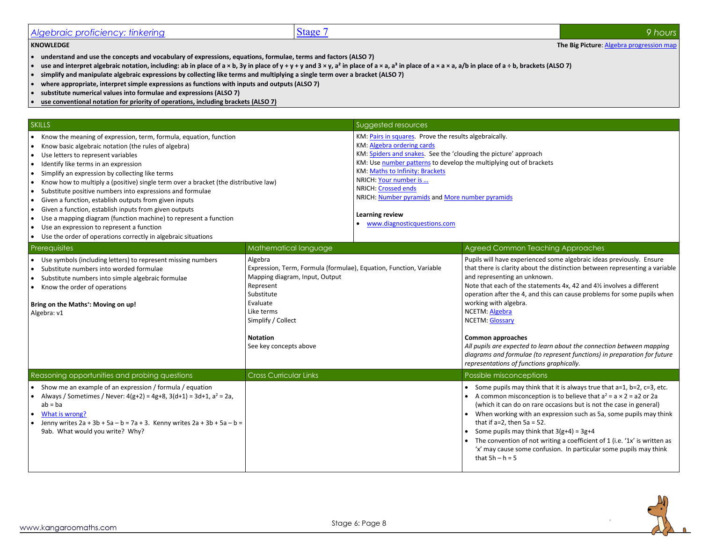## <span id="page-7-0"></span>*Algebraic proficiency: tinkering* 8 *9 hours* 8 **9** *Stage 7* 9 *Algebraic proficiency: tinkering* 8 *9 hours* 9 *hours*

**KNOWLEDGE The Big Picture:** Algebra progression map

- **understand and use the concepts and vocabulary of expressions, equations, formulae, terms and factors (ALSO 7)**
- **use and interpret algebraic notation, including: ab in place of a × b, 3y in place of y + y + y and 3 × y, a² in place of a × a, a³ in place of a × a × a, a/b in place of a ÷ b, brackets (ALSO 7)**
- **simplify and manipulate algebraic expressions by collecting like terms and multiplying a single term over a bracket (ALSO 7)**
- **where appropriate, interpret simple expressions as functions with inputs and outputs (ALSO 7)**
- **substitute numerical values into formulae and expressions (ALSO 7)**
- **use conventional notation for priority of operations, including brackets (ALSO 7)**

| <b>SKILLS</b>                                                                                                                                                                                                                                                                                                                                                                                                                                                                                                                                                                                                                                                                                                                                                                             |                                                                                                                                                                                                                                         | Suggested resources                                                                                                                                                                                                                                                                                                                                                                                                            |                                                                                                                                                                                                                                                                                                                                                                                                                                                                                                                                                                                                                                           |
|-------------------------------------------------------------------------------------------------------------------------------------------------------------------------------------------------------------------------------------------------------------------------------------------------------------------------------------------------------------------------------------------------------------------------------------------------------------------------------------------------------------------------------------------------------------------------------------------------------------------------------------------------------------------------------------------------------------------------------------------------------------------------------------------|-----------------------------------------------------------------------------------------------------------------------------------------------------------------------------------------------------------------------------------------|--------------------------------------------------------------------------------------------------------------------------------------------------------------------------------------------------------------------------------------------------------------------------------------------------------------------------------------------------------------------------------------------------------------------------------|-------------------------------------------------------------------------------------------------------------------------------------------------------------------------------------------------------------------------------------------------------------------------------------------------------------------------------------------------------------------------------------------------------------------------------------------------------------------------------------------------------------------------------------------------------------------------------------------------------------------------------------------|
| Know the meaning of expression, term, formula, equation, function<br>Know basic algebraic notation (the rules of algebra)<br>Use letters to represent variables<br>$\bullet$<br>Identify like terms in an expression<br>I۰<br>Simplify an expression by collecting like terms<br>$\bullet$<br>Know how to multiply a (positive) single term over a bracket (the distributive law)<br>$\bullet$<br>Substitute positive numbers into expressions and formulae<br>Given a function, establish outputs from given inputs<br>$\bullet$<br>Given a function, establish inputs from given outputs<br>Use a mapping diagram (function machine) to represent a function<br>$\bullet$<br>Use an expression to represent a function<br>Use the order of operations correctly in algebraic situations |                                                                                                                                                                                                                                         | KM: Pairs in squares. Prove the results algebraically.<br>KM: Algebra ordering cards<br>KM: Spiders and snakes. See the 'clouding the picture' approach<br>KM: Use number patterns to develop the multiplying out of brackets<br><b>KM: Maths to Infinity: Brackets</b><br>NRICH: Your number is<br>NRICH: Crossed ends<br>NRICH: Number pyramids and More number pyramids<br>Learning review<br>• www.diagnosticquestions.com |                                                                                                                                                                                                                                                                                                                                                                                                                                                                                                                                                                                                                                           |
| Prerequisites                                                                                                                                                                                                                                                                                                                                                                                                                                                                                                                                                                                                                                                                                                                                                                             | Mathematical language                                                                                                                                                                                                                   |                                                                                                                                                                                                                                                                                                                                                                                                                                | Agreed Common Teaching Approaches                                                                                                                                                                                                                                                                                                                                                                                                                                                                                                                                                                                                         |
| Use symbols (including letters) to represent missing numbers<br>Substitute numbers into worded formulae<br>Substitute numbers into simple algebraic formulae<br>Know the order of operations<br>$\bullet$<br>Bring on the Maths <sup>+</sup> : Moving on up!<br>Algebra: v1                                                                                                                                                                                                                                                                                                                                                                                                                                                                                                               | Algebra<br>Expression, Term, Formula (formulae), Equation, Function, Variable<br>Mapping diagram, Input, Output<br>Represent<br>Substitute<br>Evaluate<br>Like terms<br>Simplify / Collect<br><b>Notation</b><br>See key concepts above |                                                                                                                                                                                                                                                                                                                                                                                                                                | Pupils will have experienced some algebraic ideas previously. Ensure<br>that there is clarity about the distinction between representing a variable<br>and representing an unknown.<br>Note that each of the statements 4x, 42 and 41% involves a different<br>operation after the 4, and this can cause problems for some pupils when<br>working with algebra.<br>NCETM: Algebra<br><b>NCETM: Glossary</b><br><b>Common approaches</b><br>All pupils are expected to learn about the connection between mapping<br>diagrams and formulae (to represent functions) in preparation for future<br>representations of functions graphically. |
| Reasoning opportunities and probing questions                                                                                                                                                                                                                                                                                                                                                                                                                                                                                                                                                                                                                                                                                                                                             | <b>Cross Curricular Links</b>                                                                                                                                                                                                           |                                                                                                                                                                                                                                                                                                                                                                                                                                | Possible misconceptions                                                                                                                                                                                                                                                                                                                                                                                                                                                                                                                                                                                                                   |
| Show me an example of an expression / formula / equation<br>Always / Sometimes / Never: $4(g+2) = 4g+8$ , $3(d+1) = 3d+1$ , $a^2 = 2a$ ,<br>$ab = ba$<br>What is wrong?<br>Jenny writes $2a + 3b + 5a - b = 7a + 3$ . Kenny writes $2a + 3b + 5a - b =$<br>9ab. What would you write? Why?                                                                                                                                                                                                                                                                                                                                                                                                                                                                                                |                                                                                                                                                                                                                                         |                                                                                                                                                                                                                                                                                                                                                                                                                                | • Some pupils may think that it is always true that $a=1$ , $b=2$ , $c=3$ , etc.<br>A common misconception is to believe that $a^2 = a \times 2 = a2$ or 2a<br>(which it can do on rare occasions but is not the case in general)<br>When working with an expression such as 5a, some pupils may think<br>that if $a=2$ , then $5a = 52$ .<br>• Some pupils may think that $3(g+4) = 3g+4$<br>• The convention of not writing a coefficient of 1 (i.e. '1x' is written as<br>'x' may cause some confusion. In particular some pupils may think<br>that $5h - h = 5$                                                                       |

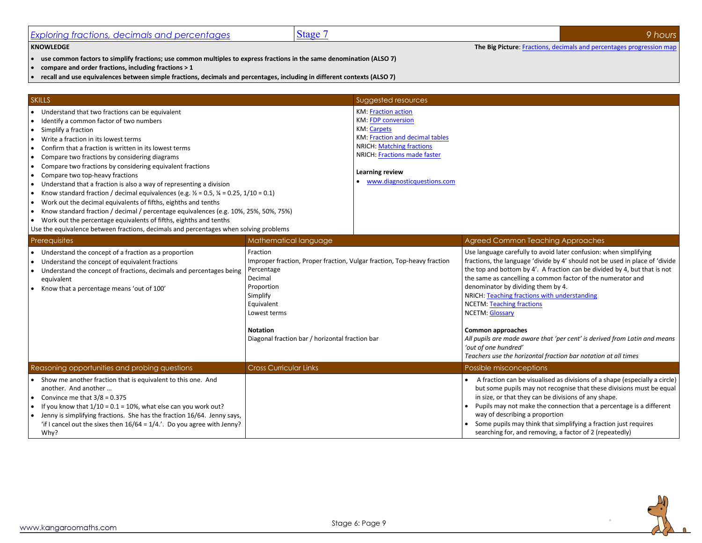<span id="page-8-0"></span>

| Exploring fractions, decimals and percentages                                                                                                                                                                                                                                                                                                                                                                                                                                                                                                                                                                                                                                                                                                                                                                                                                                                        | Stage 7                                                                                                                                                                                                                                    |                                                                                                                                                                                                                                                               |                                                                                                                                                                                                                                                                                                                                          | 9 hours                                                                                                                                                                                                                                |
|------------------------------------------------------------------------------------------------------------------------------------------------------------------------------------------------------------------------------------------------------------------------------------------------------------------------------------------------------------------------------------------------------------------------------------------------------------------------------------------------------------------------------------------------------------------------------------------------------------------------------------------------------------------------------------------------------------------------------------------------------------------------------------------------------------------------------------------------------------------------------------------------------|--------------------------------------------------------------------------------------------------------------------------------------------------------------------------------------------------------------------------------------------|---------------------------------------------------------------------------------------------------------------------------------------------------------------------------------------------------------------------------------------------------------------|------------------------------------------------------------------------------------------------------------------------------------------------------------------------------------------------------------------------------------------------------------------------------------------------------------------------------------------|----------------------------------------------------------------------------------------------------------------------------------------------------------------------------------------------------------------------------------------|
| <b>KNOWLEDGE</b>                                                                                                                                                                                                                                                                                                                                                                                                                                                                                                                                                                                                                                                                                                                                                                                                                                                                                     |                                                                                                                                                                                                                                            |                                                                                                                                                                                                                                                               |                                                                                                                                                                                                                                                                                                                                          | The Big Picture: Fractions, decimals and percentages progression map                                                                                                                                                                   |
| use common factors to simplify fractions; use common multiples to express fractions in the same denomination (ALSO 7)<br>compare and order fractions, including fractions > 1<br>recall and use equivalences between simple fractions, decimals and percentages, including in different contexts (ALSO 7)                                                                                                                                                                                                                                                                                                                                                                                                                                                                                                                                                                                            |                                                                                                                                                                                                                                            |                                                                                                                                                                                                                                                               |                                                                                                                                                                                                                                                                                                                                          |                                                                                                                                                                                                                                        |
|                                                                                                                                                                                                                                                                                                                                                                                                                                                                                                                                                                                                                                                                                                                                                                                                                                                                                                      |                                                                                                                                                                                                                                            |                                                                                                                                                                                                                                                               |                                                                                                                                                                                                                                                                                                                                          |                                                                                                                                                                                                                                        |
| <b>SKILLS</b><br>Understand that two fractions can be equivalent<br>Identify a common factor of two numbers<br>Simplify a fraction<br>Write a fraction in its lowest terms<br>Confirm that a fraction is written in its lowest terms<br>Compare two fractions by considering diagrams<br>Compare two fractions by considering equivalent fractions<br>Compare two top-heavy fractions<br>Understand that a fraction is also a way of representing a division<br>Know standard fraction / decimal equivalences (e.g. $\frac{1}{2}$ = 0.5, $\frac{1}{4}$ = 0.25, 1/10 = 0.1)<br>Work out the decimal equivalents of fifths, eighths and tenths<br>Know standard fraction / decimal / percentage equivalences (e.g. 10%, 25%, 50%, 75%)<br>• Work out the percentage equivalents of fifths, eighths and tenths<br>Use the equivalence between fractions, decimals and percentages when solving problems |                                                                                                                                                                                                                                            | Suggested resources<br><b>KM: Fraction action</b><br><b>KM: FDP conversion</b><br><b>KM: Carpets</b><br>KM: Fraction and decimal tables<br><b>NRICH: Matching fractions</b><br>NRICH: Fractions made faster<br>Learning review<br>www.diagnosticquestions.com |                                                                                                                                                                                                                                                                                                                                          |                                                                                                                                                                                                                                        |
| Prerequisites                                                                                                                                                                                                                                                                                                                                                                                                                                                                                                                                                                                                                                                                                                                                                                                                                                                                                        | Mathematical language                                                                                                                                                                                                                      |                                                                                                                                                                                                                                                               | Agreed Common Teaching Approaches                                                                                                                                                                                                                                                                                                        |                                                                                                                                                                                                                                        |
| Understand the concept of a fraction as a proportion<br>Understand the concept of equivalent fractions<br>Understand the concept of fractions, decimals and percentages being<br>equivalent<br>• Know that a percentage means 'out of 100'                                                                                                                                                                                                                                                                                                                                                                                                                                                                                                                                                                                                                                                           | Fraction<br>Improper fraction, Proper fraction, Vulgar fraction, Top-heavy fraction<br>Percentage<br>Decimal<br>Proportion<br>Simplify<br>Equivalent<br>Lowest terms<br><b>Notation</b><br>Diagonal fraction bar / horizontal fraction bar |                                                                                                                                                                                                                                                               | Use language carefully to avoid later confusion: when simplifying<br>the same as cancelling a common factor of the numerator and<br>denominator by dividing them by 4.<br>NRICH: Teaching fractions with understanding<br><b>NCETM:</b> Teaching fractions<br><b>NCETM: Glossary</b><br><b>Common approaches</b><br>'out of one hundred' | fractions, the language 'divide by 4' should not be used in place of 'divide<br>the top and bottom by 4'. A fraction can be divided by 4, but that is not<br>All pupils are made aware that 'per cent' is derived from Latin and means |
| Reasoning opportunities and probing questions                                                                                                                                                                                                                                                                                                                                                                                                                                                                                                                                                                                                                                                                                                                                                                                                                                                        | <b>Cross Curricular Links</b>                                                                                                                                                                                                              |                                                                                                                                                                                                                                                               | Teachers use the horizontal fraction bar notation at all times<br>Possible misconceptions                                                                                                                                                                                                                                                |                                                                                                                                                                                                                                        |
| Show me another fraction that is equivalent to this one. And<br>another. And another<br>Convince me that $3/8 = 0.375$<br>If you know that $1/10 = 0.1 = 10%$ , what else can you work out?<br>Jenny is simplifying fractions. She has the fraction 16/64. Jenny says,<br>'if I cancel out the sixes then $16/64 = 1/4$ .'. Do you agree with Jenny?<br>Why?                                                                                                                                                                                                                                                                                                                                                                                                                                                                                                                                         |                                                                                                                                                                                                                                            |                                                                                                                                                                                                                                                               | in size, or that they can be divisions of any shape.<br>way of describing a proportion<br>Some pupils may think that simplifying a fraction just requires<br>searching for, and removing, a factor of 2 (repeatedly)                                                                                                                     | A fraction can be visualised as divisions of a shape (especially a circle)<br>but some pupils may not recognise that these divisions must be equal<br>Pupils may not make the connection that a percentage is a different              |

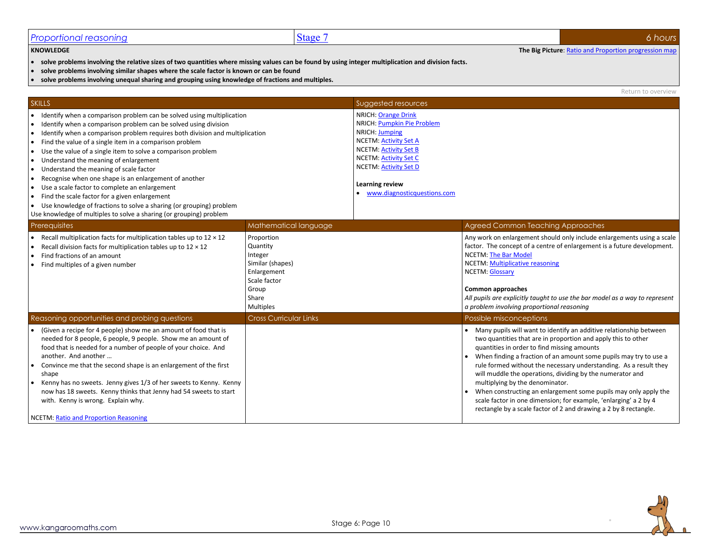## <span id="page-9-0"></span>*Proportional reasoning* 66 *hours* **6** *6 hours*

**KNOWLEDGE The Big Picture**[: Ratio and Proportion progression map](http://kangaroomaths.com/free_resources/planning/KM_MathematicsProgression_RatioProportion.xlsx)

- **solve problems involving the relative sizes of two quantities where missing values can be found by using integer multiplication and division facts.**
- **solve problems involving similar shapes where the scale factor is known or can be found**
- **solve problems involving unequal sharing and grouping using knowledge of fractions and multiples.**

Return to overview

| <b>SKILLS</b>                                                                                                                                                                                                                                                                                                                                                                                                                                                                                                                                                                                                                                                                                                                                                                                             |                                                                                                                     | Suggested resources                                                                                                                                                                                                                                          |                                                                                                                                                                                                                                                                                                                                                                                                                                                                                                                                                                                                                                         |
|-----------------------------------------------------------------------------------------------------------------------------------------------------------------------------------------------------------------------------------------------------------------------------------------------------------------------------------------------------------------------------------------------------------------------------------------------------------------------------------------------------------------------------------------------------------------------------------------------------------------------------------------------------------------------------------------------------------------------------------------------------------------------------------------------------------|---------------------------------------------------------------------------------------------------------------------|--------------------------------------------------------------------------------------------------------------------------------------------------------------------------------------------------------------------------------------------------------------|-----------------------------------------------------------------------------------------------------------------------------------------------------------------------------------------------------------------------------------------------------------------------------------------------------------------------------------------------------------------------------------------------------------------------------------------------------------------------------------------------------------------------------------------------------------------------------------------------------------------------------------------|
| Identify when a comparison problem can be solved using multiplication<br>Identify when a comparison problem can be solved using division<br>$\bullet$<br>Identify when a comparison problem requires both division and multiplication<br>∣•<br>Find the value of a single item in a comparison problem<br>$\bullet$<br>Use the value of a single item to solve a comparison problem<br>Understand the meaning of enlargement<br>$\bullet$<br>Understand the meaning of scale factor<br>Recognise when one shape is an enlargement of another<br>Use a scale factor to complete an enlargement<br>Find the scale factor for a given enlargement<br>$\bullet$<br>Use knowledge of fractions to solve a sharing (or grouping) problem<br>Use knowledge of multiples to solve a sharing (or grouping) problem |                                                                                                                     | <b>NRICH: Orange Drink</b><br>NRICH: Pumpkin Pie Problem<br>NRICH: Jumping<br><b>NCETM: Activity Set A</b><br><b>NCETM: Activity Set B</b><br><b>NCETM: Activity Set C</b><br><b>NCETM: Activity Set D</b><br>Learning review<br>www.diagnosticquestions.com |                                                                                                                                                                                                                                                                                                                                                                                                                                                                                                                                                                                                                                         |
| Prerequisites                                                                                                                                                                                                                                                                                                                                                                                                                                                                                                                                                                                                                                                                                                                                                                                             | Mathematical language                                                                                               |                                                                                                                                                                                                                                                              | Agreed Common Teaching Approaches                                                                                                                                                                                                                                                                                                                                                                                                                                                                                                                                                                                                       |
| Recall multiplication facts for multiplication tables up to $12 \times 12$<br>Recall division facts for multiplication tables up to $12 \times 12$<br>Find fractions of an amount<br>Find multiples of a given number                                                                                                                                                                                                                                                                                                                                                                                                                                                                                                                                                                                     | Proportion<br>Quantity<br>Integer<br>Similar (shapes)<br>Enlargement<br>Scale factor<br>Group<br>Share<br>Multiples |                                                                                                                                                                                                                                                              | Any work on enlargement should only include enlargements using a scale<br>factor. The concept of a centre of enlargement is a future development.<br><b>NCETM: The Bar Model</b><br><b>NCETM: Multiplicative reasoning</b><br><b>NCETM: Glossary</b><br><b>Common approaches</b><br>All pupils are explicitly taught to use the bar model as a way to represent<br>a problem involving proportional reasoning                                                                                                                                                                                                                           |
| Reasoning opportunities and probing questions                                                                                                                                                                                                                                                                                                                                                                                                                                                                                                                                                                                                                                                                                                                                                             | <b>Cross Curricular Links</b>                                                                                       |                                                                                                                                                                                                                                                              | Possible misconceptions                                                                                                                                                                                                                                                                                                                                                                                                                                                                                                                                                                                                                 |
| (Given a recipe for 4 people) show me an amount of food that is<br>needed for 8 people, 6 people, 9 people. Show me an amount of<br>food that is needed for a number of people of your choice. And<br>another. And another<br>Convince me that the second shape is an enlargement of the first<br>shape<br>Kenny has no sweets. Jenny gives 1/3 of her sweets to Kenny. Kenny<br>now has 18 sweets. Kenny thinks that Jenny had 54 sweets to start<br>with. Kenny is wrong. Explain why.<br>NCETM: Ratio and Proportion Reasoning                                                                                                                                                                                                                                                                         |                                                                                                                     |                                                                                                                                                                                                                                                              | Many pupils will want to identify an additive relationship between<br>two quantities that are in proportion and apply this to other<br>quantities in order to find missing amounts<br>When finding a fraction of an amount some pupils may try to use a<br>rule formed without the necessary understanding. As a result they<br>will muddle the operations, dividing by the numerator and<br>multiplying by the denominator.<br>When constructing an enlargement some pupils may only apply the<br>scale factor in one dimension; for example, 'enlarging' a 2 by 4<br>rectangle by a scale factor of 2 and drawing a 2 by 8 rectangle. |

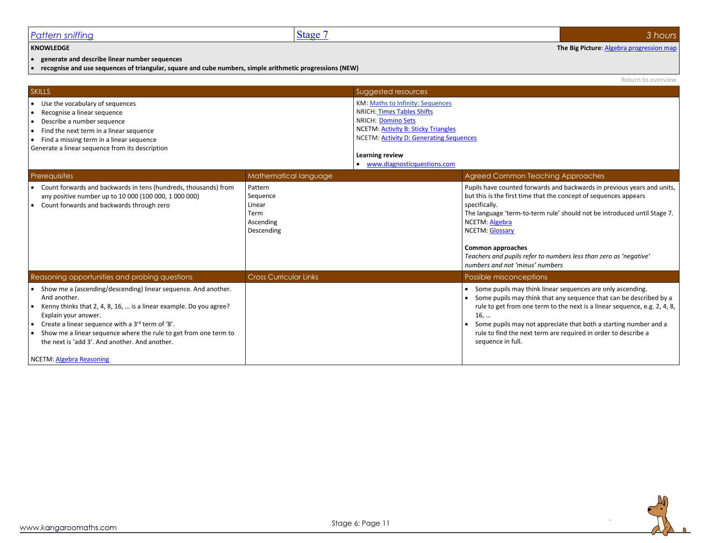### <span id="page-10-0"></span>*Pattern sniffing* 3*hours* 3*hours*

Return to overview

#### **KNOWLEDGE The Big Picture:** Algebra progression map

• **generate and describe linear number sequences**

• **recognise and use sequences of triangular, square and cube numbers, simple arithmetic progressions (NEW)**

SKILLS SUGgested resources and the contract of the contract of the contract of the contract of the contract of the contract of the contract of the contract of the contract of the contract of the contract of the contract of • Use the vocabulary of sequences • Recognise a linear sequence • Describe a number sequence • Find the next term in a linear sequence • Find a missing term in a linear sequence Generate a linear sequence from its description KM[: Maths to Infinity: Sequences](http://kangaroomaths.com/free_resources/infinity/sequences.xlsm) NRICH: [Times Tables Shifts](http://nrich.maths.org/6863) NRICH: [Domino Sets](https://nrich.maths.org/9965) NCETM[: Activity B: Sticky Triangles](https://www.ncetm.org.uk/resources/42893) NCETM[: Activity D: Generating Sequences](https://www.ncetm.org.uk/resources/42893) **Learning review** • [www.diagnosticquestions.com](http://www.diagnosticquestions.com/) Prerequisites Mathematical language Mathematical language Agreed Common Teaching Approaches • Count forwards and backwards in tens (hundreds, thousands) from any positive number up to 10 000 (100 000, 1 000 000) • Count forwards and backwards through zero Pattern **Sequence** Linear Term Ascending Descending Pupils have counted forwards and backwards in previous years and units, but this is the first time that the concept of sequences appears specifically. The language 'term-to-term rule' should not be introduced until Stage 7. NCETM[: Algebra](https://www.ncetm.org.uk/resources/43649) NCETM[: Glossary](https://www.ncetm.org.uk/public/files/17308038/National+Curriculum+Glossary.pdf) **Common approaches** *Teachers and pupils refer to numbers less than zero as 'negative' numbers and not 'minus' numbers* Reasoning opportunities and probing questions **Cross Curricular Links** Possible misconceptions **Possible misconceptions** • Show me a (ascending/descending) linear sequence. And another. And another. • Kenny thinks that 2, 4, 8, 16, … is a linear example. Do you agree? Explain your answer. • Create a linear sequence with a  $3<sup>rd</sup>$  term of '8'. • Show me a linear sequence where the rule to get from one term to the next is 'add 3'. And another. And another. NCETM[: Algebra](https://www.ncetm.org.uk/public/files/18416474/6_Progression_Map_Algebra_Reasoning.pdf) Reasoning • Some pupils may think linear sequences are only ascending. • Some pupils may think that any sequence that can be described by a rule to get from one term to the next is a linear sequence, e.g. 2, 4, 8, 16, … • Some pupils may not appreciate that both a starting number and a rule to find the next term are required in order to describe a sequence in full.

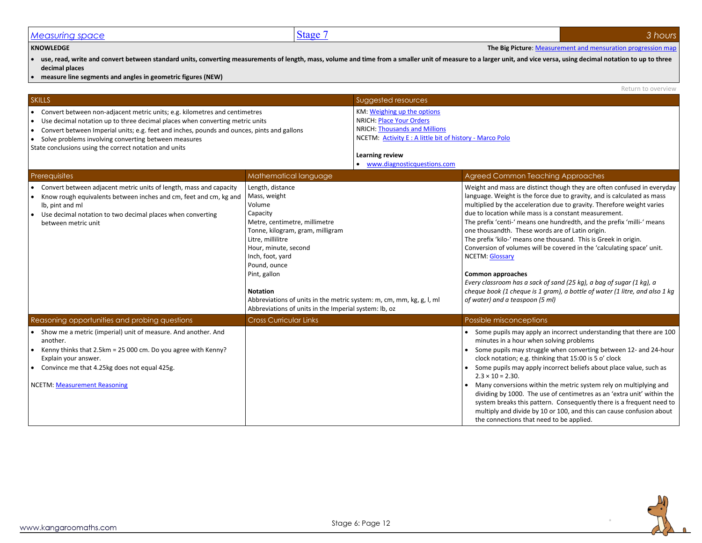## <span id="page-11-0"></span>*Measuring space* 3*<i>hours* 3*<i>hours*

#### **KNOWLEDGE The Big Picture**[: Measurement and mensuration progression map](http://kangaroomaths.com/free_resources/planning/KM_MathematicsProgression_GeometryMeasurementMensuration.xlsx)

• **use, read, write and convert between standard units, converting measurements of length, mass, volume and time from a smaller unit of measure to a larger unit, and vice versa, using decimal notation to up to three decimal places**

• **measure line segments and angles in geometric figures (NEW)**

|                                                                                                                                                                                                                                                                                                                                                                                  |                                                                                                                                                                                                                                                                                                                                                                                  |                                                                                                                                                                                                                       | Return to overview                                                                                                                                                                                                                                                                                                                                                                                                                                                                                                                                                                                                                                                                                                                                                                                               |
|----------------------------------------------------------------------------------------------------------------------------------------------------------------------------------------------------------------------------------------------------------------------------------------------------------------------------------------------------------------------------------|----------------------------------------------------------------------------------------------------------------------------------------------------------------------------------------------------------------------------------------------------------------------------------------------------------------------------------------------------------------------------------|-----------------------------------------------------------------------------------------------------------------------------------------------------------------------------------------------------------------------|------------------------------------------------------------------------------------------------------------------------------------------------------------------------------------------------------------------------------------------------------------------------------------------------------------------------------------------------------------------------------------------------------------------------------------------------------------------------------------------------------------------------------------------------------------------------------------------------------------------------------------------------------------------------------------------------------------------------------------------------------------------------------------------------------------------|
| <b>SKILLS</b>                                                                                                                                                                                                                                                                                                                                                                    |                                                                                                                                                                                                                                                                                                                                                                                  | Suggested resources                                                                                                                                                                                                   |                                                                                                                                                                                                                                                                                                                                                                                                                                                                                                                                                                                                                                                                                                                                                                                                                  |
| Convert between non-adjacent metric units; e.g. kilometres and centimetres<br>∣•<br>Use decimal notation up to three decimal places when converting metric units<br>Convert between Imperial units; e.g. feet and inches, pounds and ounces, pints and gallons<br>Solve problems involving converting between measures<br>State conclusions using the correct notation and units |                                                                                                                                                                                                                                                                                                                                                                                  | KM: Weighing up the options<br><b>NRICH: Place Your Orders</b><br><b>NRICH: Thousands and Millions</b><br>NCETM: Activity E: A little bit of history - Marco Polo<br>Learning review<br>• www.diagnosticquestions.com |                                                                                                                                                                                                                                                                                                                                                                                                                                                                                                                                                                                                                                                                                                                                                                                                                  |
| Prerequisites                                                                                                                                                                                                                                                                                                                                                                    | Mathematical language                                                                                                                                                                                                                                                                                                                                                            |                                                                                                                                                                                                                       | Agreed Common Teaching Approaches                                                                                                                                                                                                                                                                                                                                                                                                                                                                                                                                                                                                                                                                                                                                                                                |
| Convert between adjacent metric units of length, mass and capacity<br>Know rough equivalents between inches and cm, feet and cm, kg and<br>lb, pint and ml<br>Use decimal notation to two decimal places when converting<br>between metric unit                                                                                                                                  | Length, distance<br>Mass, weight<br>Volume<br>Capacity<br>Metre, centimetre, millimetre<br>Tonne, kilogram, gram, milligram<br>Litre, millilitre<br>Hour, minute, second<br>Inch, foot, yard<br>Pound, ounce<br>Pint, gallon<br><b>Notation</b><br>Abbreviations of units in the metric system: m, cm, mm, kg, g, l, ml<br>Abbreviations of units in the Imperial system: lb, oz |                                                                                                                                                                                                                       | Weight and mass are distinct though they are often confused in everyday<br>language. Weight is the force due to gravity, and is calculated as mass<br>multiplied by the acceleration due to gravity. Therefore weight varies<br>due to location while mass is a constant measurement.<br>The prefix 'centi-' means one hundredth, and the prefix 'milli-' means<br>one thousandth. These words are of Latin origin.<br>The prefix 'kilo-' means one thousand. This is Greek in origin.<br>Conversion of volumes will be covered in the 'calculating space' unit.<br><b>NCETM: Glossary</b><br><b>Common approaches</b><br>Every classroom has a sack of sand (25 kg), a bag of sugar (1 kg), a<br>cheque book (1 cheque is 1 gram), a bottle of water (1 litre, and also 1 kg<br>of water) and a teaspoon (5 ml) |
| Reasoning opportunities and probing questions                                                                                                                                                                                                                                                                                                                                    | <b>Cross Curricular Links</b>                                                                                                                                                                                                                                                                                                                                                    |                                                                                                                                                                                                                       | Possible misconceptions                                                                                                                                                                                                                                                                                                                                                                                                                                                                                                                                                                                                                                                                                                                                                                                          |
| Show me a metric (imperial) unit of measure. And another. And<br>another.<br>Kenny thinks that 2.5km = 25 000 cm. Do you agree with Kenny?<br>Explain your answer.<br>Convince me that 4.25kg does not equal 425g.<br>NCETM: Measurement Reasoning                                                                                                                               |                                                                                                                                                                                                                                                                                                                                                                                  |                                                                                                                                                                                                                       | • Some pupils may apply an incorrect understanding that there are 100<br>minutes in a hour when solving problems<br>Some pupils may struggle when converting between 12- and 24-hour<br>clock notation; e.g. thinking that 15:00 is 5 o' clock<br>Some pupils may apply incorrect beliefs about place value, such as<br>$2.3 \times 10 = 2.30$ .<br>• Many conversions within the metric system rely on multiplying and<br>dividing by 1000. The use of centimetres as an 'extra unit' within the<br>system breaks this pattern. Consequently there is a frequent need to<br>multiply and divide by 10 or 100, and this can cause confusion about<br>the connections that need to be applied.                                                                                                                    |

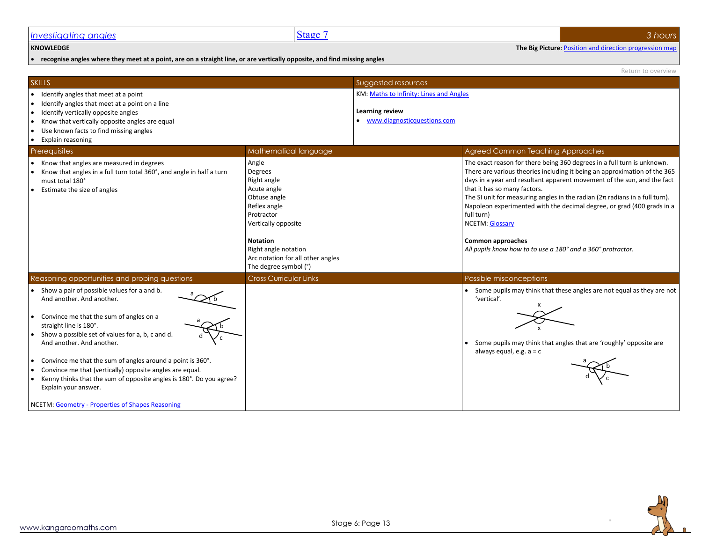<span id="page-12-0"></span>

| <b>Investigating angles</b> | <b>Stage</b> | hours |
|-----------------------------|--------------|-------|
|                             |              |       |

**KNOWLEDGE The Big Picture**[: Position and direction progression map](http://kangaroomaths.com/free_resources/planning/KM_MathematicsProgression_GeometryPositionDirection.xlsx)

• **recognise angles where they meet at a point, are on a straight line, or are vertically opposite, and find missing angles**

Return to overview

| <b>SKILLS</b>                                                                                                                                                                                                                                                                                                                                                                                                                                                                                                                         |                                                                                                                                                                                                                              | Suggested resources                                                                       |                                                                                                                                                                                                                                                                                                                                                                                                                                                                                                                                                                  |
|---------------------------------------------------------------------------------------------------------------------------------------------------------------------------------------------------------------------------------------------------------------------------------------------------------------------------------------------------------------------------------------------------------------------------------------------------------------------------------------------------------------------------------------|------------------------------------------------------------------------------------------------------------------------------------------------------------------------------------------------------------------------------|-------------------------------------------------------------------------------------------|------------------------------------------------------------------------------------------------------------------------------------------------------------------------------------------------------------------------------------------------------------------------------------------------------------------------------------------------------------------------------------------------------------------------------------------------------------------------------------------------------------------------------------------------------------------|
| Identify angles that meet at a point<br>$\bullet$<br>Identify angles that meet at a point on a line<br>Identify vertically opposite angles<br>$\bullet$<br>Know that vertically opposite angles are equal<br>Use known facts to find missing angles<br>Explain reasoning<br>$\bullet$                                                                                                                                                                                                                                                 |                                                                                                                                                                                                                              | KM: Maths to Infinity: Lines and Angles<br>Learning review<br>www.diagnosticquestions.com |                                                                                                                                                                                                                                                                                                                                                                                                                                                                                                                                                                  |
| Prerequisites                                                                                                                                                                                                                                                                                                                                                                                                                                                                                                                         | Mathematical language                                                                                                                                                                                                        |                                                                                           | <b>Agreed Common Teaching Approaches</b>                                                                                                                                                                                                                                                                                                                                                                                                                                                                                                                         |
| Know that angles are measured in degrees<br>Know that angles in a full turn total 360°, and angle in half a turn<br>must total 180°<br>Estimate the size of angles                                                                                                                                                                                                                                                                                                                                                                    | Angle<br>Degrees<br>Right angle<br>Acute angle<br>Obtuse angle<br>Reflex angle<br>Protractor<br>Vertically opposite<br><b>Notation</b><br>Right angle notation<br>Arc notation for all other angles<br>The degree symbol (°) |                                                                                           | The exact reason for there being 360 degrees in a full turn is unknown.<br>There are various theories including it being an approximation of the 365<br>days in a year and resultant apparent movement of the sun, and the fact<br>that it has so many factors.<br>The SI unit for measuring angles in the radian $(2\pi \text{ radians in a full turn}).$<br>Napoleon experimented with the decimal degree, or grad (400 grads in a<br>full turn)<br><b>NCETM: Glossary</b><br>Common approaches<br>All pupils know how to to use a 180° and a 360° protractor. |
| Reasoning opportunities and probing questions                                                                                                                                                                                                                                                                                                                                                                                                                                                                                         | <b>Cross Curricular Links</b>                                                                                                                                                                                                |                                                                                           | Possible misconceptions                                                                                                                                                                                                                                                                                                                                                                                                                                                                                                                                          |
| Show a pair of possible values for a and b.<br>And another, And another,<br>Convince me that the sum of angles on a<br>straight line is 180°.<br>Show a possible set of values for a, b, c and d.<br>And another. And another.<br>Convince me that the sum of angles around a point is 360°.<br>$\bullet$<br>Convince me that (vertically) opposite angles are equal.<br>$\bullet$<br>Kenny thinks that the sum of opposite angles is 180°. Do you agree?<br>Explain your answer.<br>NCETM: Geometry - Properties of Shapes Reasoning |                                                                                                                                                                                                                              |                                                                                           | Some pupils may think that these angles are not equal as they are not<br>'vertical'.<br>Some pupils may think that angles that are 'roughly' opposite are<br>always equal, e.g. $a = c$                                                                                                                                                                                                                                                                                                                                                                          |

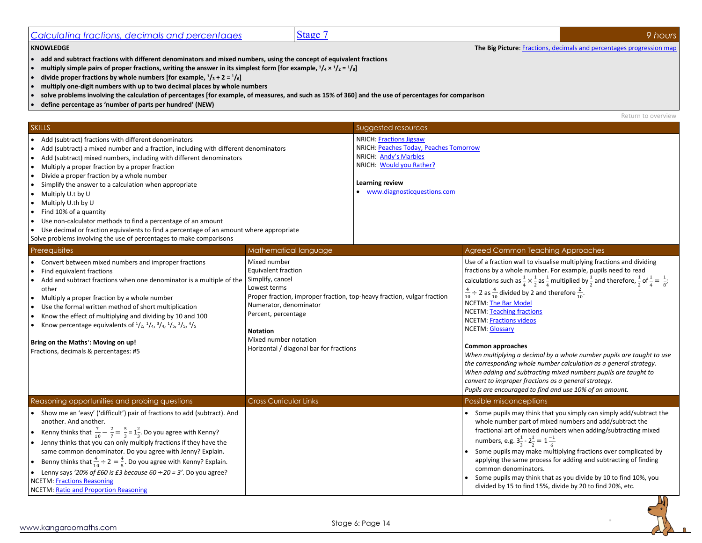<span id="page-13-0"></span>

| <b>KNOWLEDGE</b>                                | The Big Picture: F   | actions, decimals and percentages progression map |
|-------------------------------------------------|----------------------|---------------------------------------------------|
| Calculating fractions, decimals and percentages | Stage<br><b>Dide</b> | nours                                             |

- **add and subtract fractions with different denominators and mixed numbers, using the concept of equivalent fractions**
- multiply simple pairs of proper fractions, writing the answer in its simplest form [for example,  $1/4 \times 1/2 = 1/8$ ]
- divide proper fractions by whole numbers [for example,  $\frac{1}{3} \div 2 = \frac{1}{6}$ ]
- **multiply one-digit numbers with up to two decimal places by whole numbers**
- **solve problems involving the calculation of percentages [for example, of measures, and such as 15% of 360] and the use of percentages for comparison**
- **define percentage as 'number of parts per hundred' (NEW)**

Return to overview

|                                                                                                                                                                                                                                                                                                                                                                                                                                                                                                                                                                                                                                                                                                                                                            |                                                                                                                                                                                                                                                                                            |                                                                                                                                                                                 | DETAILLED OVERVIEM                                                                                                                                                                                                                                                                                                                                                                                                                                                                                                                                                                                                                                                                                                                                                                                                                                                                               |
|------------------------------------------------------------------------------------------------------------------------------------------------------------------------------------------------------------------------------------------------------------------------------------------------------------------------------------------------------------------------------------------------------------------------------------------------------------------------------------------------------------------------------------------------------------------------------------------------------------------------------------------------------------------------------------------------------------------------------------------------------------|--------------------------------------------------------------------------------------------------------------------------------------------------------------------------------------------------------------------------------------------------------------------------------------------|---------------------------------------------------------------------------------------------------------------------------------------------------------------------------------|--------------------------------------------------------------------------------------------------------------------------------------------------------------------------------------------------------------------------------------------------------------------------------------------------------------------------------------------------------------------------------------------------------------------------------------------------------------------------------------------------------------------------------------------------------------------------------------------------------------------------------------------------------------------------------------------------------------------------------------------------------------------------------------------------------------------------------------------------------------------------------------------------|
| <b>SKILLS</b>                                                                                                                                                                                                                                                                                                                                                                                                                                                                                                                                                                                                                                                                                                                                              |                                                                                                                                                                                                                                                                                            | Suggested resources                                                                                                                                                             |                                                                                                                                                                                                                                                                                                                                                                                                                                                                                                                                                                                                                                                                                                                                                                                                                                                                                                  |
| • Add (subtract) fractions with different denominators<br>Add (subtract) a mixed number and a fraction, including with different denominators<br>Add (subtract) mixed numbers, including with different denominators<br>$\bullet$<br>Multiply a proper fraction by a proper fraction<br>$\bullet$<br>Divide a proper fraction by a whole number<br>$\bullet$<br>Simplify the answer to a calculation when appropriate<br>$\bullet$<br>Multiply U.t by U<br>• Multiply U.th by U<br>Find 10% of a quantity<br>Use non-calculator methods to find a percentage of an amount<br>$\bullet$<br>• Use decimal or fraction equivalents to find a percentage of an amount where appropriate<br>Solve problems involving the use of percentages to make comparisons |                                                                                                                                                                                                                                                                                            | <b>NRICH: Fractions Jigsaw</b><br>NRICH: Peaches Today, Peaches Tomorrow<br>NRICH: Andy's Marbles<br>NRICH: Would you Rather?<br>Learning review<br>www.diagnosticquestions.com |                                                                                                                                                                                                                                                                                                                                                                                                                                                                                                                                                                                                                                                                                                                                                                                                                                                                                                  |
| Prerequisites                                                                                                                                                                                                                                                                                                                                                                                                                                                                                                                                                                                                                                                                                                                                              | Mathematical language                                                                                                                                                                                                                                                                      |                                                                                                                                                                                 | Agreed Common Teaching Approaches                                                                                                                                                                                                                                                                                                                                                                                                                                                                                                                                                                                                                                                                                                                                                                                                                                                                |
| • Convert between mixed numbers and improper fractions<br>Find equivalent fractions<br>$\bullet$<br>Add and subtract fractions when one denominator is a multiple of the<br>$\bullet$<br>other<br>Multiply a proper fraction by a whole number<br>$\bullet$<br>Use the formal written method of short multiplication<br>Know the effect of multiplying and dividing by 10 and 100<br>• Know percentage equivalents of $\frac{1}{2}$ , $\frac{1}{4}$ , $\frac{3}{4}$ , $\frac{1}{5}$ , $\frac{2}{5}$ , $\frac{4}{5}$<br>Bring on the Maths <sup>+</sup> : Moving on up!<br>Fractions, decimals & percentages: #5                                                                                                                                            | Mixed number<br>Equivalent fraction<br>Simplify, cancel<br>Lowest terms<br>Proper fraction, improper fraction, top-heavy fraction, vulgar fraction<br>Numerator, denominator<br>Percent, percentage<br><b>Notation</b><br>Mixed number notation<br>Horizontal / diagonal bar for fractions |                                                                                                                                                                                 | Use of a fraction wall to visualise multiplying fractions and dividing<br>fractions by a whole number. For example, pupils need to read<br>calculations such as $\frac{1}{4} \times \frac{1}{2}$ as $\frac{1}{4}$ multiplied by $\frac{1}{2}$ and therefore, $\frac{1}{2}$ of $\frac{1}{4} = \frac{1}{8}$ ;<br>$\frac{4}{10} \div 2$ as $\frac{4}{10}$ divided by 2 and therefore $\frac{2}{10}$ .<br><b>NCETM: The Bar Model</b><br><b>NCETM: Teaching fractions</b><br><b>NCETM: Fractions videos</b><br><b>NCETM: Glossary</b><br><b>Common approaches</b><br>When multiplying a decimal by a whole number pupils are taught to use<br>the corresponding whole number calculation as a general strategy.<br>When adding and subtracting mixed numbers pupils are taught to<br>convert to improper fractions as a general strategy.<br>Pupils are encouraged to find and use 10% of an amount. |
| Reasoning opportunities and probing questions                                                                                                                                                                                                                                                                                                                                                                                                                                                                                                                                                                                                                                                                                                              | <b>Cross Curricular Links</b>                                                                                                                                                                                                                                                              |                                                                                                                                                                                 | Possible misconceptions                                                                                                                                                                                                                                                                                                                                                                                                                                                                                                                                                                                                                                                                                                                                                                                                                                                                          |
| • Show me an 'easy' ('difficult') pair of fractions to add (subtract). And<br>another. And another.<br>• Kenny thinks that $\frac{7}{10} - \frac{2}{7} = \frac{5}{3} = 1\frac{2}{3}$ . Do you agree with Kenny?<br>• Jenny thinks that you can only multiply fractions if they have the<br>same common denominator. Do you agree with Jenny? Explain.<br>Benny thinks that $\frac{4}{10} \div 2 = \frac{4}{5}$ . Do you agree with Kenny? Explain.<br>• Lenny says '20% of £60 is £3 because $60 \div 20 = 3'$ . Do you agree?<br><b>NCETM: Fractions Reasoning</b><br><b>NCETM: Ratio and Proportion Reasoning</b>                                                                                                                                        |                                                                                                                                                                                                                                                                                            |                                                                                                                                                                                 | Some pupils may think that you simply can simply add/subtract the<br>whole number part of mixed numbers and add/subtract the<br>fractional art of mixed numbers when adding/subtracting mixed<br>numbers, e.g. $3\frac{1}{2}$ - $2\frac{1}{2}$ = $1\frac{-1}{6}$<br>Some pupils may make multiplying fractions over complicated by<br>applying the same process for adding and subtracting of finding<br>common denominators.<br>Some pupils may think that as you divide by 10 to find 10%, you<br>divided by 15 to find 15%, divide by 20 to find 20%, etc.                                                                                                                                                                                                                                                                                                                                    |

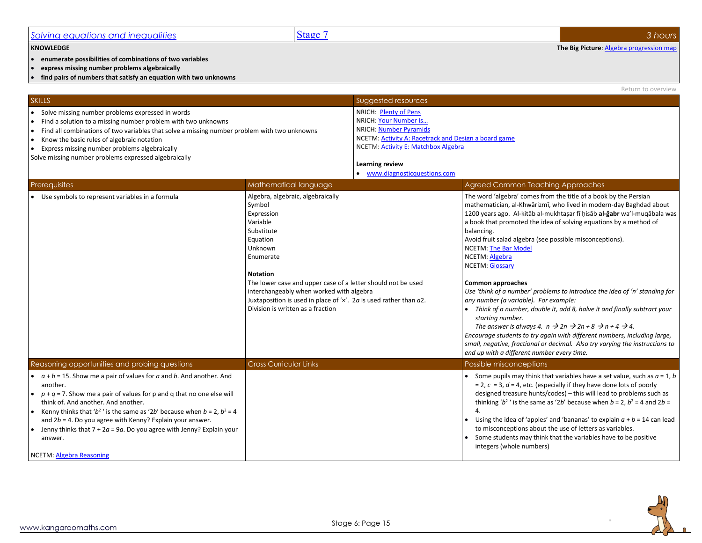#### <span id="page-14-0"></span>*Solving equations and inequalities* Stage 7 *3 hours* **KNOWLEDGE The Big Picture**[: Algebra progression map](http://kangaroomaths.com/free_resources/planning/KM_MathematicsProgression_Algebra.xlsx) • **enumerate possibilities of combinations of two variables** • **express missing number problems algebraically** • **find pairs of numbers that satisfy an equation with two unknowns** Return to overview **SKILLS** SULLER SUGGESTED RESOURCES AND LOCAL CONTINUES OF THE SUGGESTED RESOURCES SUGGESTED FOR SUGGESTED RESOURCES • Solve missing number problems expressed in words • Find a solution to a missing number problem with two unknowns • Find all combinations of two variables that solve a missing number problem with two unknowns • Know the basic rules of algebraic notation • Express missing number problems algebraically Solve missing number problems expressed algebraically NRICH: [Plenty of Pens](https://nrich.maths.org/1117) NRICH[: Your Number Is…](http://nrich.maths.org/2289) NRICH[: Number Pyramids](http://nrich.maths.org/2281) NCETM[: Activity A: Racetrack and Design a board game](https://www.ncetm.org.uk/resources/42893) NCETM[: Activity E: Matchbox Algebra](https://www.ncetm.org.uk/resources/42893) **Learning review** • [www.diagnosticquestions.com](http://www.diagnosticquestions.com/) Prerequisites **Mathematical language Agreed Common Teaching Approaches** Agreed Common Teaching Approaches • Use symbols to represent variables in a formula Algebra, algebra, algebraic, algebraically Symbol Expression Variable Substitute Equation Unknown Enumerate **Notation** The lower case and upper case of a letter should not be used interchangeably when worked with algebra Juxtaposition is used in place of '×'. 2*a* is used rather than *a*2. Division is written as a fraction The word 'algebra' comes from the title of a book by the Persian mathematician, al-Khwārizmī, who lived in modern-day Baghdad about 1200 years ago. Al-kitāb al-mukhtaṣar fī ḥisāb **al-ğabr** wa'l-muqābala was a book that promoted the idea of solving equations by a method of balancing. Avoid fruit salad algebra (see possible misconceptions). NCETM[: The Bar Model](https://www.ncetm.org.uk/resources/44567) NCETM[: Algebra](https://www.ncetm.org.uk/resources/43649) NCETM[: Glossary](https://www.ncetm.org.uk/public/files/17308038/National+Curriculum+Glossary.pdf) **Common approaches** *Use 'think of a number' problems to introduce the idea of 'n' standing for any number (a variable). For example:* • *Think of a number, double it, add 8, halve it and finally subtract your starting number. The answer is always 4. n*  $\rightarrow$  2n  $\rightarrow$  2n + 8  $\rightarrow$  n + 4  $\rightarrow$  4. *Encourage students to try again with different numbers, including large, small, negative, fractional or decimal. Also try varying the instructions to end up with a different number every time.* Reasoning opportunities and probing questions **Cross Curricular Links** Possible misconceptions **Possible misconceptions**  $\bullet$   $a + b = 15$ . Show me a pair of values for  $a$  and  $b$ . And another. And another.  $p + q = 7$ . Show me a pair of values for p and q that no one else will think of. And another. And another. • Kenny thinks that ' $b^2$ ' is the same as '2*b*' because when  $b = 2$ ,  $b^2 = 4$ and 2*b* = 4. Do you agree with Kenny? Explain your answer. • Jenny thinks that 7 + 2*a* = 9*a*. Do you agree with Jenny? Explain your answer. NCETM[: Algebra](https://www.ncetm.org.uk/public/files/18416474/6_Progression_Map_Algebra_Reasoning.pdf) Reasoning Some pupils may think that variables have a set value, such as  $a = 1$ , *b* = 2, *c* = 3, *d* = 4, etc. (especially if they have done lots of poorly designed treasure hunts/codes) – this will lead to problems such as thinking ' $b^2$ ' is the same as '2*b*' because when  $b = 2$ ,  $b^2 = 4$  and  $2b = 1$ 4. Using the idea of 'apples' and 'bananas' to explain  $a + b = 14$  can lead to misconceptions about the use of letters as variables. • Some students may think that the variables have to be positive integers (whole numbers)

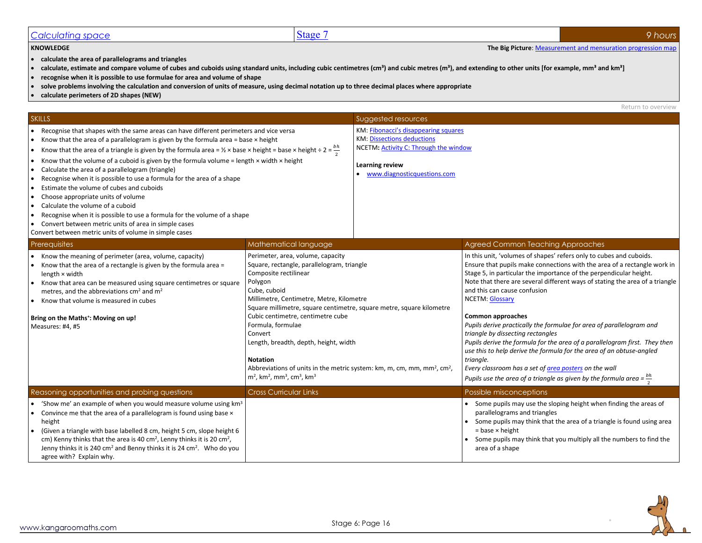## <span id="page-15-0"></span>**Calculating space** 9 *hours*

• **calculate the area of parallelograms and triangles**

- calculate, estimate and compare volume of cubes and cuboids using standard units, including cubic centimetres (cm<sup>3</sup>) and cubic metres (m<sup>3</sup>), and extending to other units [for example, mm<sup>3</sup> and km<sup>3</sup>]
- **recognise when it is possible to use formulae for area and volume of shape**
- **solve problems involving the calculation and conversion of units of measure, using decimal notation up to three decimal places where appropriate**
- **calculate perimeters of 2D shapes (NEW)**

Return to overview

| <b>SKILLS</b>                                                                                                                                                                                                                                                                                                                                                                                                                                                                                                                                                                                                                                                                                                                                                                                                                                                                                                                                                                |                                                                                                                                                                                                                                                                                                                                                                                                                                                                                                                                                                             | Suggested resources                                                                                                                                                    |                                                                                                                                                                                                                                                                                                                                                                                                                                                                                                                                                                                                                                                                                                                                                                                                                                |
|------------------------------------------------------------------------------------------------------------------------------------------------------------------------------------------------------------------------------------------------------------------------------------------------------------------------------------------------------------------------------------------------------------------------------------------------------------------------------------------------------------------------------------------------------------------------------------------------------------------------------------------------------------------------------------------------------------------------------------------------------------------------------------------------------------------------------------------------------------------------------------------------------------------------------------------------------------------------------|-----------------------------------------------------------------------------------------------------------------------------------------------------------------------------------------------------------------------------------------------------------------------------------------------------------------------------------------------------------------------------------------------------------------------------------------------------------------------------------------------------------------------------------------------------------------------------|------------------------------------------------------------------------------------------------------------------------------------------------------------------------|--------------------------------------------------------------------------------------------------------------------------------------------------------------------------------------------------------------------------------------------------------------------------------------------------------------------------------------------------------------------------------------------------------------------------------------------------------------------------------------------------------------------------------------------------------------------------------------------------------------------------------------------------------------------------------------------------------------------------------------------------------------------------------------------------------------------------------|
| • Recognise that shapes with the same areas can have different perimeters and vice versa<br>Know that the area of a parallelogram is given by the formula area = base $\times$ height<br>Know that the area of a triangle is given by the formula area = $\frac{1}{2} \times$ base $\times$ height = base $\times$ height ÷ 2 = $\frac{bh}{r}$<br>$\bullet$<br>Know that the volume of a cuboid is given by the formula volume = length $\times$ width $\times$ height<br>Calculate the area of a parallelogram (triangle)<br>$\bullet$<br>Recognise when it is possible to use a formula for the area of a shape<br>Estimate the volume of cubes and cuboids<br>$\bullet$<br>Choose appropriate units of volume<br>$\bullet$<br>Calculate the volume of a cuboid<br>Recognise when it is possible to use a formula for the volume of a shape<br>$\bullet$<br>Convert between metric units of area in simple cases<br>Convert between metric units of volume in simple cases |                                                                                                                                                                                                                                                                                                                                                                                                                                                                                                                                                                             | KM: Fibonacci's disappearing squares<br><b>KM: Dissections deductions</b><br>NCETM: Activity C: Through the window<br>Learning review<br>• www.diagnosticquestions.com |                                                                                                                                                                                                                                                                                                                                                                                                                                                                                                                                                                                                                                                                                                                                                                                                                                |
| Prerequisites                                                                                                                                                                                                                                                                                                                                                                                                                                                                                                                                                                                                                                                                                                                                                                                                                                                                                                                                                                | Mathematical language                                                                                                                                                                                                                                                                                                                                                                                                                                                                                                                                                       |                                                                                                                                                                        | Agreed Common Teaching Approaches                                                                                                                                                                                                                                                                                                                                                                                                                                                                                                                                                                                                                                                                                                                                                                                              |
| Know the meaning of perimeter (area, volume, capacity)<br>Know that the area of a rectangle is given by the formula area =<br>$\bullet$<br>length × width<br>Know that area can be measured using square centimetres or square<br>metres, and the abbreviations cm <sup>2</sup> and m <sup>2</sup><br>• Know that volume is measured in cubes<br>Bring on the Maths <sup>+</sup> : Moving on up!<br>Measures: #4, #5                                                                                                                                                                                                                                                                                                                                                                                                                                                                                                                                                         | Perimeter, area, volume, capacity<br>Square, rectangle, parallelogram, triangle<br>Composite rectilinear<br>Polygon<br>Cube, cuboid<br>Millimetre, Centimetre, Metre, Kilometre<br>Square millimetre, square centimetre, square metre, square kilometre<br>Cubic centimetre, centimetre cube<br>Formula, formulae<br>Convert<br>Length, breadth, depth, height, width<br><b>Notation</b><br>Abbreviations of units in the metric system: km, m, cm, mm, mm <sup>2</sup> , cm <sup>2</sup> ,<br>$m2$ , km <sup>2</sup> , mm <sup>3</sup> , cm <sup>3</sup> , km <sup>3</sup> |                                                                                                                                                                        | In this unit, 'volumes of shapes' refers only to cubes and cuboids.<br>Ensure that pupils make connections with the area of a rectangle work in<br>Stage 5, in particular the importance of the perpendicular height.<br>Note that there are several different ways of stating the area of a triangle<br>and this can cause confusion<br><b>NCETM: Glossary</b><br><b>Common approaches</b><br>Pupils derive practically the formulae for area of parallelogram and<br>triangle by dissecting rectangles<br>Pupils derive the formula for the area of a parallelogram first. They then<br>use this to help derive the formula for the area of an obtuse-angled<br>triangle.<br>Every classroom has a set of <i>area posters</i> on the wall<br>Pupils use the area of a triangle as given by the formula area = $\frac{bh}{2}$ |
| Reasoning opportunities and probing questions                                                                                                                                                                                                                                                                                                                                                                                                                                                                                                                                                                                                                                                                                                                                                                                                                                                                                                                                | Cross Curricular Links                                                                                                                                                                                                                                                                                                                                                                                                                                                                                                                                                      |                                                                                                                                                                        | Possible misconceptions                                                                                                                                                                                                                                                                                                                                                                                                                                                                                                                                                                                                                                                                                                                                                                                                        |
| • 'Show me' an example of when you would measure volume using $km^3$<br>Convince me that the area of a parallelogram is found using base x<br>height<br>(Given a triangle with base labelled 8 cm, height 5 cm, slope height 6<br>cm) Kenny thinks that the area is 40 cm <sup>2</sup> , Lenny thinks it is 20 cm <sup>2</sup> ,<br>Jenny thinks it is 240 cm <sup>2</sup> and Benny thinks it is 24 cm <sup>2</sup> . Who do you<br>agree with? Explain why.                                                                                                                                                                                                                                                                                                                                                                                                                                                                                                                |                                                                                                                                                                                                                                                                                                                                                                                                                                                                                                                                                                             |                                                                                                                                                                        | • Some pupils may use the sloping height when finding the areas of<br>parallelograms and triangles<br>• Some pupils may think that the area of a triangle is found using area<br>$=$ base $\times$ height<br>• Some pupils may think that you multiply all the numbers to find the<br>area of a shape                                                                                                                                                                                                                                                                                                                                                                                                                                                                                                                          |



**KNOWLEDGE The Big Picture:** Measurement and mensuration progression map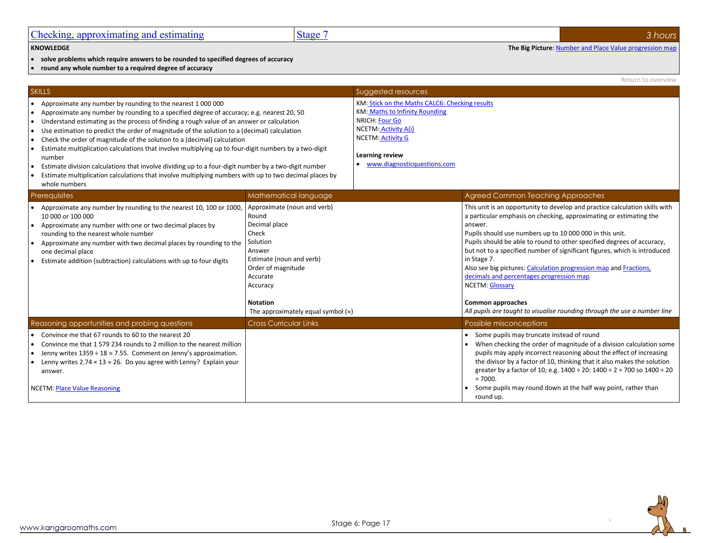<span id="page-16-0"></span>• **solve problems which require answers to be rounded to specified degrees of accuracy**

• **round any whole number to a required degree of accuracy**

|                                                                                                                                                                                                                                                                                                                                                                                                                                                                                                                                                                                                                                                                                                                                                                                                                 |                                                                                                                                                                                                                                 |                                                                                                                                                                                                                        | Return to overview                                                                                                                                                                                                                                                                                                                                                                                                                                                                                                                                                                                                                                 |
|-----------------------------------------------------------------------------------------------------------------------------------------------------------------------------------------------------------------------------------------------------------------------------------------------------------------------------------------------------------------------------------------------------------------------------------------------------------------------------------------------------------------------------------------------------------------------------------------------------------------------------------------------------------------------------------------------------------------------------------------------------------------------------------------------------------------|---------------------------------------------------------------------------------------------------------------------------------------------------------------------------------------------------------------------------------|------------------------------------------------------------------------------------------------------------------------------------------------------------------------------------------------------------------------|----------------------------------------------------------------------------------------------------------------------------------------------------------------------------------------------------------------------------------------------------------------------------------------------------------------------------------------------------------------------------------------------------------------------------------------------------------------------------------------------------------------------------------------------------------------------------------------------------------------------------------------------------|
| <b>SKILLS</b>                                                                                                                                                                                                                                                                                                                                                                                                                                                                                                                                                                                                                                                                                                                                                                                                   |                                                                                                                                                                                                                                 | Suggested resources                                                                                                                                                                                                    |                                                                                                                                                                                                                                                                                                                                                                                                                                                                                                                                                                                                                                                    |
| Approximate any number by rounding to the nearest 1 000 000<br>Approximate any number by rounding to a specified degree of accuracy; e.g. nearest 20, 50<br>Understand estimating as the process of finding a rough value of an answer or calculation<br>$\bullet$<br>Use estimation to predict the order of magnitude of the solution to a (decimal) calculation<br>$\bullet$<br>Check the order of magnitude of the solution to a (decimal) calculation<br>Estimate multiplication calculations that involve multiplying up to four-digit numbers by a two-digit<br>number<br>Estimate division calculations that involve dividing up to a four-digit number by a two-digit number<br>Estimate multiplication calculations that involve multiplying numbers with up to two decimal places by<br>whole numbers |                                                                                                                                                                                                                                 | KM: Stick on the Maths CALC6: Checking results<br><b>KM: Maths to Infinity Rounding</b><br>NRICH: Four Go<br><b>NCETM: Activity A(i)</b><br><b>NCETM: Activity G</b><br>Learning review<br>www.diagnosticquestions.com |                                                                                                                                                                                                                                                                                                                                                                                                                                                                                                                                                                                                                                                    |
| Prerequisites                                                                                                                                                                                                                                                                                                                                                                                                                                                                                                                                                                                                                                                                                                                                                                                                   | Mathematical language                                                                                                                                                                                                           |                                                                                                                                                                                                                        | <b>Agreed Common Teaching Approaches</b>                                                                                                                                                                                                                                                                                                                                                                                                                                                                                                                                                                                                           |
| Approximate any number by rounding to the nearest 10, 100 or 1000,<br>10 000 or 100 000<br>Approximate any number with one or two decimal places by<br>rounding to the nearest whole number<br>Approximate any number with two decimal places by rounding to the<br>one decimal place<br>Estimate addition (subtraction) calculations with up to four digits                                                                                                                                                                                                                                                                                                                                                                                                                                                    | Approximate (noun and verb)<br>Round<br>Decimal place<br>Check<br>Solution<br>Answer<br>Estimate (noun and verb)<br>Order of magnitude<br>Accurate<br>Accuracy<br><b>Notation</b><br>The approximately equal symbol $(\approx)$ |                                                                                                                                                                                                                        | This unit is an opportunity to develop and practice calculation skills with<br>a particular emphasis on checking, approximating or estimating the<br>answer.<br>Pupils should use numbers up to 10 000 000 in this unit.<br>Pupils should be able to round to other specified degrees of accuracy,<br>but not to a specified number of significant figures, which is introduced<br>in Stage 7.<br>Also see big pictures: Calculation progression map and Fractions,<br>decimals and percentages progression map<br><b>NCETM: Glossary</b><br><b>Common approaches</b><br>All pupils are taught to visualise rounding through the use a number line |
| Reasoning opportunities and probing questions                                                                                                                                                                                                                                                                                                                                                                                                                                                                                                                                                                                                                                                                                                                                                                   | <b>Cross Curricular Links</b>                                                                                                                                                                                                   |                                                                                                                                                                                                                        | Possible misconceptions                                                                                                                                                                                                                                                                                                                                                                                                                                                                                                                                                                                                                            |
| Convince me that 67 rounds to 60 to the nearest 20<br>Convince me that 1 579 234 rounds to 2 million to the nearest million<br>Jenny writes $1359 \div 18 \approx 7.55$ . Comment on Jenny's approximation.<br>Lenny writes 2.74 $\times$ 13 $\approx$ 26. Do you agree with Lenny? Explain your<br>answer.<br><b>NCETM: Place Value Reasoning</b>                                                                                                                                                                                                                                                                                                                                                                                                                                                              |                                                                                                                                                                                                                                 |                                                                                                                                                                                                                        | Some pupils may truncate instead of round<br>When checking the order of magnitude of a division calculation some<br>pupils may apply incorrect reasoning about the effect of increasing<br>the divisor by a factor of 10, thinking that it also makes the solution<br>greater by a factor of 10; e.g. $1400 \div 20$ : $1400 \div 2 = 700$ so $1400 \div 20$<br>$= 7000.$<br>Some pupils may round down at the half way point, rather than<br>round up.                                                                                                                                                                                            |

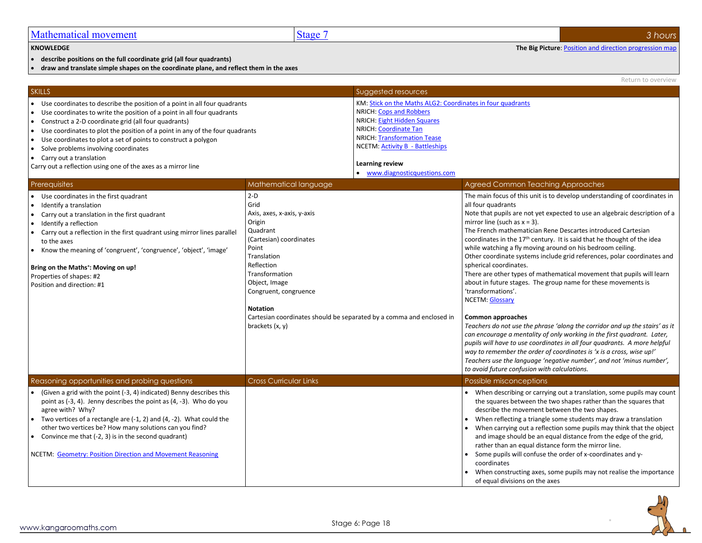<span id="page-17-0"></span>

| Mathematical movement | Stage | hours |
|-----------------------|-------|-------|
|                       |       |       |

• **describe positions on the full coordinate grid (all four quadrants)**

• **draw and translate simple shapes on the coordinate plane, and reflect them in the axes**

|                                                                                                                                                                                                                                                                                                                                                                                                                                                                                                                 |                                                                                                                                                                                                                                                                                                                |                                                                                                                                                                                                                                                                                                 | Return to overview                                                                                                                                                                                                                                                                                                                                                                                                                                                                                                                                                                                                                                                                                                                                                                                                                                                                                                                                                                                                                                                                                                                                                                                      |
|-----------------------------------------------------------------------------------------------------------------------------------------------------------------------------------------------------------------------------------------------------------------------------------------------------------------------------------------------------------------------------------------------------------------------------------------------------------------------------------------------------------------|----------------------------------------------------------------------------------------------------------------------------------------------------------------------------------------------------------------------------------------------------------------------------------------------------------------|-------------------------------------------------------------------------------------------------------------------------------------------------------------------------------------------------------------------------------------------------------------------------------------------------|---------------------------------------------------------------------------------------------------------------------------------------------------------------------------------------------------------------------------------------------------------------------------------------------------------------------------------------------------------------------------------------------------------------------------------------------------------------------------------------------------------------------------------------------------------------------------------------------------------------------------------------------------------------------------------------------------------------------------------------------------------------------------------------------------------------------------------------------------------------------------------------------------------------------------------------------------------------------------------------------------------------------------------------------------------------------------------------------------------------------------------------------------------------------------------------------------------|
| <b>SKILLS</b>                                                                                                                                                                                                                                                                                                                                                                                                                                                                                                   |                                                                                                                                                                                                                                                                                                                | Suggested resources                                                                                                                                                                                                                                                                             |                                                                                                                                                                                                                                                                                                                                                                                                                                                                                                                                                                                                                                                                                                                                                                                                                                                                                                                                                                                                                                                                                                                                                                                                         |
| • Use coordinates to describe the position of a point in all four quadrants<br>• Use coordinates to write the position of a point in all four quadrants<br>• Construct a 2-D coordinate grid (all four quadrants)<br>• Use coordinates to plot the position of a point in any of the four quadrants<br>• Use coordinates to plot a set of points to construct a polygon<br>• Solve problems involving coordinates<br>• Carry out a translation<br>Carry out a reflection using one of the axes as a mirror line |                                                                                                                                                                                                                                                                                                                | KM: Stick on the Maths ALG2: Coordinates in four quadrants<br><b>NRICH: Cops and Robbers</b><br><b>NRICH: Eight Hidden Squares</b><br>NRICH: Coordinate Tan<br><b>NRICH: Transformation Tease</b><br><b>NCETM: Activity B - Battleships</b><br>Learning review<br>• www.diagnosticquestions.com |                                                                                                                                                                                                                                                                                                                                                                                                                                                                                                                                                                                                                                                                                                                                                                                                                                                                                                                                                                                                                                                                                                                                                                                                         |
| Prerequisites                                                                                                                                                                                                                                                                                                                                                                                                                                                                                                   | Mathematical language                                                                                                                                                                                                                                                                                          |                                                                                                                                                                                                                                                                                                 | <b>Agreed Common Teaching Approaches</b>                                                                                                                                                                                                                                                                                                                                                                                                                                                                                                                                                                                                                                                                                                                                                                                                                                                                                                                                                                                                                                                                                                                                                                |
| • Use coordinates in the first quadrant<br>• Identify a translation<br>• Carry out a translation in the first quadrant<br>• Identify a reflection<br>• Carry out a reflection in the first quadrant using mirror lines parallel<br>to the axes<br>• Know the meaning of 'congruent', 'congruence', 'object', 'image'<br>Bring on the Maths <sup>+</sup> : Moving on up!<br>Properties of shapes: #2<br>Position and direction: #1                                                                               | $2-D$<br>Grid<br>Axis, axes, x-axis, y-axis<br>Origin<br>Quadrant<br>(Cartesian) coordinates<br>Point<br>Translation<br>Reflection<br>Transformation<br>Object, Image<br>Congruent, congruence<br><b>Notation</b><br>Cartesian coordinates should be separated by a comma and enclosed in<br>brackets $(x, y)$ |                                                                                                                                                                                                                                                                                                 | The main focus of this unit is to develop understanding of coordinates in<br>all four quadrants<br>Note that pupils are not yet expected to use an algebraic description of a<br>mirror line (such as $x = 3$ ).<br>The French mathematician Rene Descartes introduced Cartesian<br>coordinates in the 17 <sup>th</sup> century. It is said that he thought of the idea<br>while watching a fly moving around on his bedroom ceiling.<br>Other coordinate systems include grid references, polar coordinates and<br>spherical coordinates.<br>There are other types of mathematical movement that pupils will learn<br>about in future stages. The group name for these movements is<br>'transformations'.<br><b>NCETM: Glossary</b><br><b>Common approaches</b><br>Teachers do not use the phrase 'along the corridor and up the stairs' as it<br>can encourage a mentality of only working in the first quadrant. Later,<br>pupils will have to use coordinates in all four quadrants. A more helpful<br>way to remember the order of coordinates is 'x is a cross, wise up!'<br>Teachers use the language 'negative number', and not 'minus number',<br>to avoid future confusion with calculations. |
| Reasoning opportunities and probing questions                                                                                                                                                                                                                                                                                                                                                                                                                                                                   | <b>Cross Curricular Links</b>                                                                                                                                                                                                                                                                                  |                                                                                                                                                                                                                                                                                                 | Possible misconceptions                                                                                                                                                                                                                                                                                                                                                                                                                                                                                                                                                                                                                                                                                                                                                                                                                                                                                                                                                                                                                                                                                                                                                                                 |
| • (Given a grid with the point (-3, 4) indicated) Benny describes this<br>point as $(-3, 4)$ . Jenny describes the point as $(4, -3)$ . Who do you<br>agree with? Why?<br>• Two vertices of a rectangle are $(-1, 2)$ and $(4, -2)$ . What could the                                                                                                                                                                                                                                                            |                                                                                                                                                                                                                                                                                                                |                                                                                                                                                                                                                                                                                                 | • When describing or carrying out a translation, some pupils may count<br>the squares between the two shapes rather than the squares that<br>describe the movement between the two shapes.<br>When reflecting a triangle some students may draw a translation                                                                                                                                                                                                                                                                                                                                                                                                                                                                                                                                                                                                                                                                                                                                                                                                                                                                                                                                           |

other two vertices be? How many solutions can you find? • Convince me that (-2, 3) is in the second quadrant)

NCETM: [Geometry: Position Direction and Movement Reasoning](https://www.ncetm.org.uk/public/files/18436990/9_Progression_Map_Geometry_position_direction_and_movement_Reasoning.pdf)



• When carrying out a reflection some pupils may think that the object and image should be an equal distance from the edge of the grid,

rather than an equal distance form the mirror line. • Some pupils will confuse the order of x-coordinates and y-



**KNOWLEDGE The Big Picture**[: Position and direction progression map](http://kangaroomaths.com/free_resources/planning/KM_MathematicsProgression_GeometryPositionDirection.xlsx)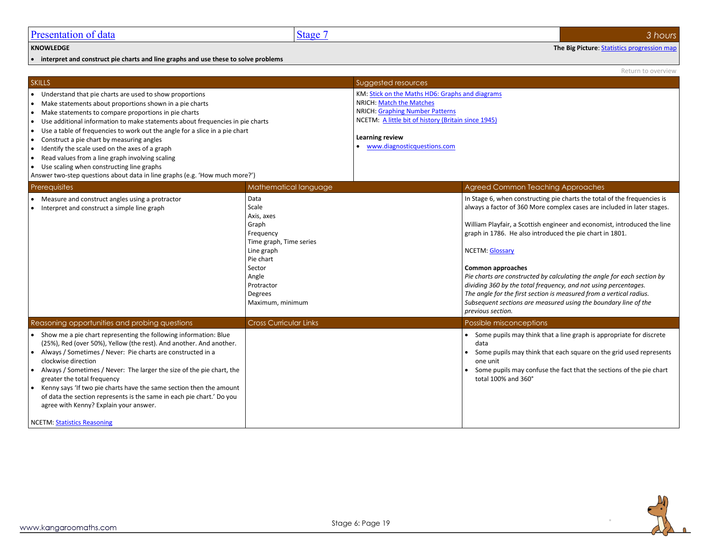• **interpret and construct pie charts and line graphs and use these to solve problems**

<span id="page-18-0"></span>**KNOWLEDGE The Big Picture**[: Statistics progression map](http://kangaroomaths.com/free_resources/planning/KM_MathematicsProgression_Statistics.xlsx)

Return to overview SKILLS SUGgested resources and the contract of the contract of the contract of the contract of the contract of the contract of the contract of the contract of the contract of the contract of the contract of the contract of • Understand that pie charts are used to show proportions • Make statements about proportions shown in a pie charts • Make statements to compare proportions in pie charts • Use additional information to make statements about frequencies in pie charts • Use a table of frequencies to work out the angle for a slice in a pie chart • Construct a pie chart by measuring angles • Identify the scale used on the axes of a graph • Read values from a line graph involving scaling • Use scaling when constructing line graphs Answer two-step questions about data in line graphs (e.g. 'How much more?') KM[: Stick on the Maths HD6: Graphs and diagrams](http://www.kangaroomaths.com/free_resources/teaching/sotm/level5/5hd6_ewb.doc) NRICH[: Match the Matches](http://nrich.maths.org/public/viewer.php?obj_id=4937) NRICH[: Graphing Number Patterns](http://nrich.maths.org/1174) NCETM:[A little bit of history \(Britain since 1945\)](https://www.ncetm.org.uk/resources/38193) **Learning review** • [www.diagnosticquestions.com](http://www.diagnosticquestions.com/) Prerequisites Mathematical language Mathematical language Agreed Common Teaching Approaches • Measure and construct angles using a protractor • Interpret and construct a simple line graph Data Scale Axis, axes Graph **Frequency** Time graph, Time series Line graph Pie chart Sector Angle Protractor Degrees Maximum, minimum In Stage 6, when constructing pie charts the total of the frequencies is always a factor of 360 More complex cases are included in later stages. William Playfair, a Scottish engineer and economist, introduced the line graph in 1786. He also introduced the pie chart in 1801. NCETM[: Glossary](https://www.ncetm.org.uk/public/files/17308038/National+Curriculum+Glossary.pdf) **Common approaches** *Pie charts are constructed by calculating the angle for each section by dividing 360 by the total frequency, and not using percentages. The angle for the first section is measured from a vertical radius. Subsequent sections are measured using the boundary line of the previous section.* Reasoning opportunities and probing questions **Cross Curricular Links** Possible misconceptions **Possible misconceptions** • Show me a pie chart representing the following information: Blue (25%), Red (over 50%), Yellow (the rest). And another. And another. • Always / Sometimes / Never: Pie charts are constructed in a clockwise direction • Always / Sometimes / Never: The larger the size of the pie chart, the greater the total frequency • Kenny says 'If two pie charts have the same section then the amount of data the section represents is the same in each pie chart.' Do you agree with Kenny? Explain your answer. NCETM[: Statistics Reasoning](https://www.ncetm.org.uk/public/files/18437062/10_Progression_Map_Statistics_Reasoning.pdf) • Some pupils may think that a line graph is appropriate for discrete data • Some pupils may think that each square on the grid used represents one unit • Some pupils may confuse the fact that the sections of the pie chart total 100% and 360°

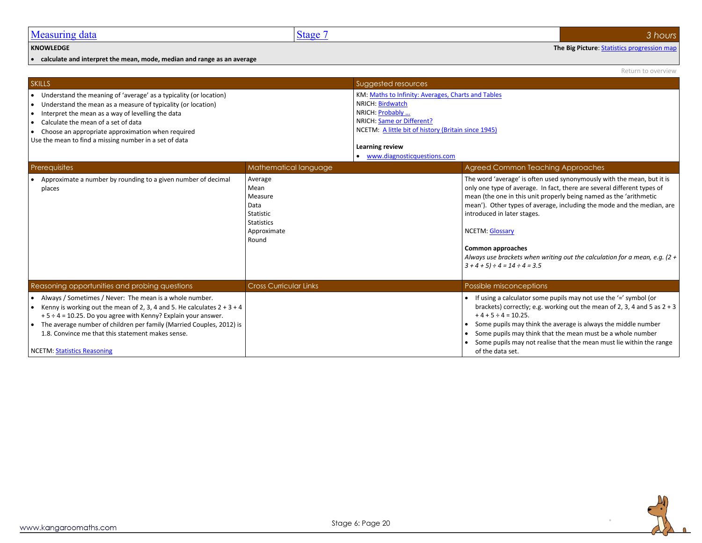#### <span id="page-19-0"></span>**KNOWLEDGE The Big Picture**[: Statistics progression map](http://kangaroomaths.com/free_resources/planning/KM_MathematicsProgression_Statistics.xlsx)

• **calculate and interpret the mean, mode, median and range as an average**

• Some pupils may not realise that the mean must lie within the range

of the data set.

|                                                                                                                                                                                                                                                                                                                                                                              |                                                                                              |                                                                                                                                                                                                                                   | Return to overview                                                                                                                                                                                                                                                                                                                                                                                                                                                                                     |
|------------------------------------------------------------------------------------------------------------------------------------------------------------------------------------------------------------------------------------------------------------------------------------------------------------------------------------------------------------------------------|----------------------------------------------------------------------------------------------|-----------------------------------------------------------------------------------------------------------------------------------------------------------------------------------------------------------------------------------|--------------------------------------------------------------------------------------------------------------------------------------------------------------------------------------------------------------------------------------------------------------------------------------------------------------------------------------------------------------------------------------------------------------------------------------------------------------------------------------------------------|
| <b>SKILLS</b>                                                                                                                                                                                                                                                                                                                                                                |                                                                                              | Suggested resources                                                                                                                                                                                                               |                                                                                                                                                                                                                                                                                                                                                                                                                                                                                                        |
| • Understand the meaning of 'average' as a typicality (or location)<br>• Understand the mean as a measure of typicality (or location)<br>• Interpret the mean as a way of levelling the data<br>Calculate the mean of a set of data<br>$\bullet$<br>Choose an appropriate approximation when required<br>$\bullet$<br>Use the mean to find a missing number in a set of data |                                                                                              | KM: Maths to Infinity: Averages, Charts and Tables<br>NRICH: Birdwatch<br>NRICH: Probably<br>NRICH: Same or Different?<br>NCETM: A little bit of history (Britain since 1945)<br>Learning review<br>• www.diagnosticquestions.com |                                                                                                                                                                                                                                                                                                                                                                                                                                                                                                        |
| Prerequisites                                                                                                                                                                                                                                                                                                                                                                | Mathematical language                                                                        |                                                                                                                                                                                                                                   | <b>Agreed Common Teaching Approaches</b>                                                                                                                                                                                                                                                                                                                                                                                                                                                               |
| Approximate a number by rounding to a given number of decimal<br>places                                                                                                                                                                                                                                                                                                      | Average<br>Mean<br>Measure<br>Data<br>Statistic<br><b>Statistics</b><br>Approximate<br>Round |                                                                                                                                                                                                                                   | The word 'average' is often used synonymously with the mean, but it is<br>only one type of average. In fact, there are several different types of<br>mean (the one in this unit properly being named as the 'arithmetic<br>mean'). Other types of average, including the mode and the median, are<br>introduced in later stages.<br><b>NCETM: Glossary</b><br><b>Common approaches</b><br>Always use brackets when writing out the calculation for a mean, e.g. (2 +<br>$3 + 4 + 5$ + 4 = 14 ÷ 4 = 3.5 |
| Reasoning opportunities and probing questions                                                                                                                                                                                                                                                                                                                                | <b>Cross Curricular Links</b>                                                                |                                                                                                                                                                                                                                   | <b>Possible misconceptions</b>                                                                                                                                                                                                                                                                                                                                                                                                                                                                         |
| Always / Sometimes / Never: The mean is a whole number.<br>∣.<br>Kenny is working out the mean of 2, 3, 4 and 5. He calculates $2 + 3 + 4$<br>$\bullet$<br>$+5 \div 4 = 10.25$ . Do you agree with Kenny? Explain your answer.<br>The average number of children per family (Married Couples, 2012) is<br>1.8. Convince me that this statement makes sense.                  |                                                                                              |                                                                                                                                                                                                                                   | If using a calculator some pupils may not use the $=$ ' symbol (or<br>$\bullet$<br>brackets) correctly; e.g. working out the mean of 2, 3, 4 and 5 as $2 + 3$<br>$+4+5 \div 4 = 10.25$ .<br>Some pupils may think the average is always the middle number<br>Some pupils may think that the mean must be a whole number                                                                                                                                                                                |



NCETM[: Statistics Reasoning](https://www.ncetm.org.uk/public/files/18437062/10_Progression_Map_Statistics_Reasoning.pdf)